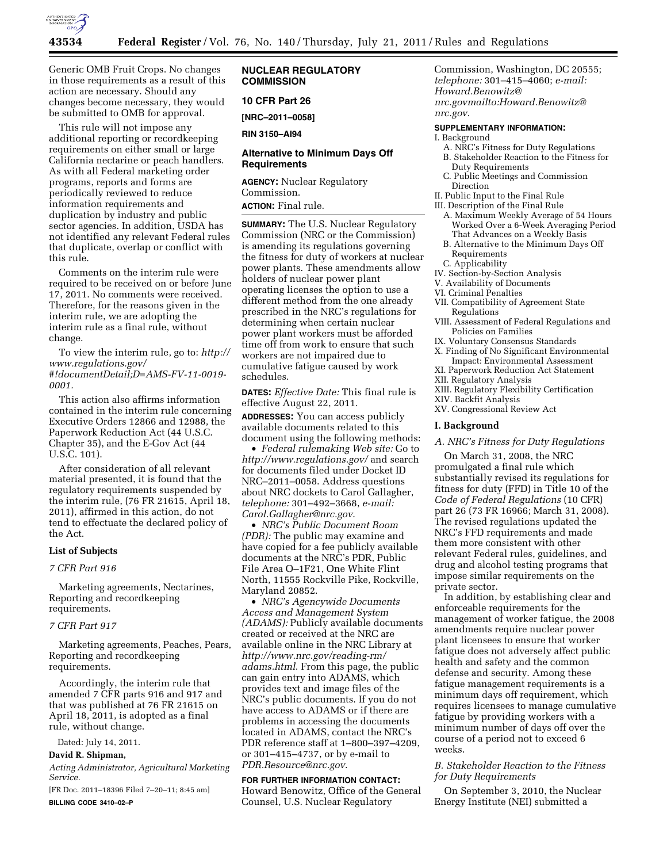

Generic OMB Fruit Crops. No changes

in those requirements as a result of this action are necessary. Should any changes become necessary, they would be submitted to OMB for approval.

This rule will not impose any additional reporting or recordkeeping requirements on either small or large California nectarine or peach handlers. As with all Federal marketing order programs, reports and forms are periodically reviewed to reduce information requirements and duplication by industry and public sector agencies. In addition, USDA has not identified any relevant Federal rules that duplicate, overlap or conflict with this rule.

Comments on the interim rule were required to be received on or before June 17, 2011. No comments were received. Therefore, for the reasons given in the interim rule, we are adopting the interim rule as a final rule, without change.

To view the interim rule, go to: *[http://](http://www.regulations.gov/#!documentDetail;D=AMS-FV-11-0019-0001) [www.regulations.gov/](http://www.regulations.gov/#!documentDetail;D=AMS-FV-11-0019-0001) [#!documentDetail;D=AMS-FV-11-0019-](http://www.regulations.gov/#!documentDetail;D=AMS-FV-11-0019-0001)  [0001.](http://www.regulations.gov/#!documentDetail;D=AMS-FV-11-0019-0001)* 

This action also affirms information contained in the interim rule concerning Executive Orders 12866 and 12988, the Paperwork Reduction Act (44 U.S.C. Chapter 35), and the E-Gov Act (44 U.S.C. 101).

After consideration of all relevant material presented, it is found that the regulatory requirements suspended by the interim rule, (76 FR 21615, April 18, 2011), affirmed in this action, do not tend to effectuate the declared policy of the Act.

### **List of Subjects**

# *7 CFR Part 916*

Marketing agreements, Nectarines, Reporting and recordkeeping requirements.

#### *7 CFR Part 917*

Marketing agreements, Peaches, Pears, Reporting and recordkeeping requirements.

Accordingly, the interim rule that amended 7 CFR parts 916 and 917 and that was published at 76 FR 21615 on April 18, 2011, is adopted as a final rule, without change.

Dated: July 14, 2011.

# **David R. Shipman,**

*Acting Administrator, Agricultural Marketing Service.* 

[FR Doc. 2011–18396 Filed 7–20–11; 8:45 am] **BILLING CODE 3410–02–P** 

**NUCLEAR REGULATORY COMMISSION** 

### **10 CFR Part 26**

**[NRC–2011–0058]** 

**RIN 3150–AI94** 

## **Alternative to Minimum Days Off Requirements**

**AGENCY:** Nuclear Regulatory Commission. **ACTION:** Final rule.

**SUMMARY:** The U.S. Nuclear Regulatory Commission (NRC or the Commission) is amending its regulations governing the fitness for duty of workers at nuclear power plants. These amendments allow holders of nuclear power plant operating licenses the option to use a different method from the one already prescribed in the NRC's regulations for determining when certain nuclear power plant workers must be afforded time off from work to ensure that such workers are not impaired due to cumulative fatigue caused by work schedules.

**DATES:** *Effective Date:* This final rule is effective August 22, 2011.

**ADDRESSES:** You can access publicly available documents related to this document using the following methods:

• *Federal rulemaking Web site:* Go to *<http://www.regulations.gov/>*and search for documents filed under Docket ID NRC–2011–0058. Address questions about NRC dockets to Carol Gallagher, *telephone:* 301–492–3668, *e-mail: [Carol.Gallagher@nrc.gov](mailto:Carol.Gallagher@nrc.gov)*.

• *NRC's Public Document Room (PDR):* The public may examine and have copied for a fee publicly available documents at the NRC's PDR, Public File Area O–1F21, One White Flint North, 11555 Rockville Pike, Rockville, Maryland 20852.

• *NRC's Agencywide Documents Access and Management System (ADAMS):* Publicly available documents created or received at the NRC are available online in the NRC Library at *[http://www.nrc.gov/reading-rm/](http://www.nrc.gov/reading-rm/adams.html)  [adams.html](http://www.nrc.gov/reading-rm/adams.html)*. From this page, the public can gain entry into ADAMS, which provides text and image files of the NRC's public documents. If you do not have access to ADAMS or if there are problems in accessing the documents located in ADAMS, contact the NRC's PDR reference staff at 1–800–397–4209, or 301–415–4737, or by e-mail to *[PDR.Resource@nrc.gov](mailto:PDR.Resource@nrc.gov)*.

### **FOR FURTHER INFORMATION CONTACT:**

Howard Benowitz, Office of the General Counsel, U.S. Nuclear Regulatory

Commission, Washington, DC 20555; *telephone:* 301–415–4060; *e-mail: Howard.Benowitz@ [nrc.govmailto:Howard.Benowitz@](mailto:Howard.Benowitz@nrc.gov) nrc.gov*.

## **SUPPLEMENTARY INFORMATION:**

- I. Background
- A. NRC's Fitness for Duty Regulations
- B. Stakeholder Reaction to the Fitness for Duty Requirements
- C. Public Meetings and Commission Direction
- II. Public Input to the Final Rule
- III. Description of the Final Rule A. Maximum Weekly Average of 54 Hours
	- Worked Over a 6-Week Averaging Period That Advances on a Weekly Basis B. Alternative to the Minimum Days Off
	- Requirements C. Applicability
- 
- IV. Section-by-Section Analysis V. Availability of Documents
- 
- VI. Criminal Penalties
- VII. Compatibility of Agreement State Regulations VIII. Assessment of Federal Regulations and
- Policies on Families
- IX. Voluntary Consensus Standards
- X. Finding of No Significant Environmental
- Impact: Environmental Assessment XI. Paperwork Reduction Act Statement
- XII. Regulatory Analysis
- 
- XIII. Regulatory Flexibility Certification XIV. Backfit Analysis
- XV. Congressional Review Act

### **I. Background**

*A. NRC's Fitness for Duty Regulations* 

On March 31, 2008, the NRC promulgated a final rule which substantially revised its regulations for fitness for duty (FFD) in Title 10 of the *Code of Federal Regulations* (10 CFR) part 26 (73 FR 16966; March 31, 2008). The revised regulations updated the NRC's FFD requirements and made them more consistent with other relevant Federal rules, guidelines, and drug and alcohol testing programs that impose similar requirements on the private sector.

In addition, by establishing clear and enforceable requirements for the management of worker fatigue, the 2008 amendments require nuclear power plant licensees to ensure that worker fatigue does not adversely affect public health and safety and the common defense and security. Among these fatigue management requirements is a minimum days off requirement, which requires licensees to manage cumulative fatigue by providing workers with a minimum number of days off over the course of a period not to exceed 6 weeks.

## *B. Stakeholder Reaction to the Fitness for Duty Requirements*

On September 3, 2010, the Nuclear Energy Institute (NEI) submitted a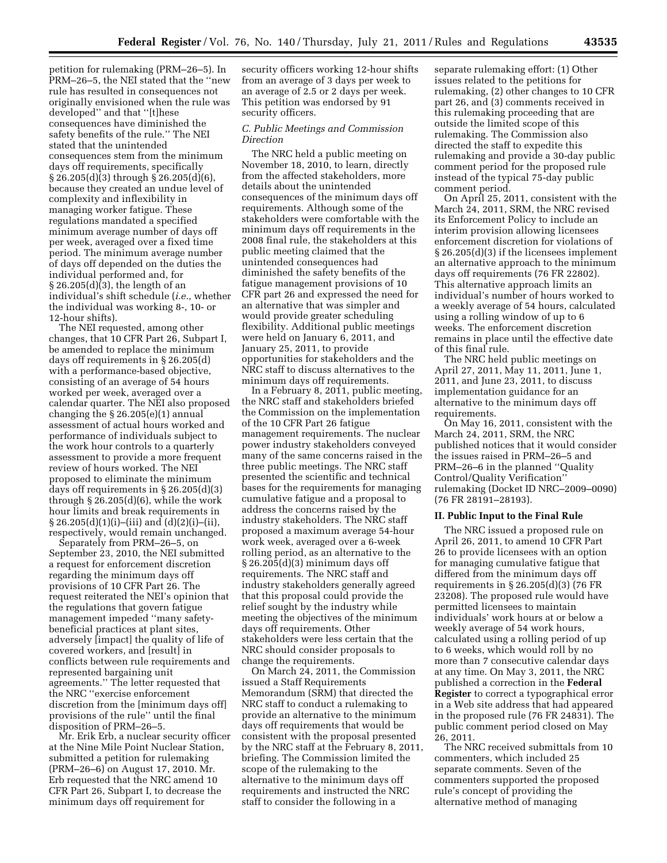petition for rulemaking (PRM–26–5). In PRM–26–5, the NEI stated that the ''new rule has resulted in consequences not originally envisioned when the rule was developed'' and that ''[t]hese consequences have diminished the safety benefits of the rule.'' The NEI stated that the unintended consequences stem from the minimum days off requirements, specifically § 26.205(d)(3) through § 26.205(d)(6), because they created an undue level of complexity and inflexibility in managing worker fatigue. These regulations mandated a specified minimum average number of days off per week, averaged over a fixed time period. The minimum average number of days off depended on the duties the individual performed and, for § 26.205(d)(3), the length of an individual's shift schedule (*i.e.*, whether the individual was working 8-, 10- or 12-hour shifts).

The NEI requested, among other changes, that 10 CFR Part 26, Subpart I, be amended to replace the minimum days off requirements in § 26.205(d) with a performance-based objective, consisting of an average of 54 hours worked per week, averaged over a calendar quarter. The NEI also proposed changing the  $\S 26.205(e)(1)$  annual assessment of actual hours worked and performance of individuals subject to the work hour controls to a quarterly assessment to provide a more frequent review of hours worked. The NEI proposed to eliminate the minimum days off requirements in § 26.205(d)(3) through  $\S 26.205(d)(6)$ , while the work hour limits and break requirements in  $\S 26.205(d)(1)(i)$ –(iii) and (d)(2)(i)–(ii), respectively, would remain unchanged.

Separately from PRM–26–5, on September 23, 2010, the NEI submitted a request for enforcement discretion regarding the minimum days off provisions of 10 CFR Part 26. The request reiterated the NEI's opinion that the regulations that govern fatigue management impeded ''many safetybeneficial practices at plant sites, adversely [impact] the quality of life of covered workers, and [result] in conflicts between rule requirements and represented bargaining unit agreements.'' The letter requested that the NRC ''exercise enforcement discretion from the [minimum days off] provisions of the rule'' until the final disposition of PRM–26–5.

Mr. Erik Erb, a nuclear security officer at the Nine Mile Point Nuclear Station, submitted a petition for rulemaking (PRM–26–6) on August 17, 2010. Mr. Erb requested that the NRC amend 10 CFR Part 26, Subpart I, to decrease the minimum days off requirement for

security officers working 12-hour shifts from an average of 3 days per week to an average of 2.5 or 2 days per week. This petition was endorsed by 91 security officers.

## *C. Public Meetings and Commission Direction*

The NRC held a public meeting on November 18, 2010, to learn, directly from the affected stakeholders, more details about the unintended consequences of the minimum days off requirements. Although some of the stakeholders were comfortable with the minimum days off requirements in the 2008 final rule, the stakeholders at this public meeting claimed that the unintended consequences had diminished the safety benefits of the fatigue management provisions of 10 CFR part 26 and expressed the need for an alternative that was simpler and would provide greater scheduling flexibility. Additional public meetings were held on January 6, 2011, and January 25, 2011, to provide opportunities for stakeholders and the NRC staff to discuss alternatives to the minimum days off requirements.

In a February 8, 2011, public meeting, the NRC staff and stakeholders briefed the Commission on the implementation of the 10 CFR Part 26 fatigue management requirements. The nuclear power industry stakeholders conveyed many of the same concerns raised in the three public meetings. The NRC staff presented the scientific and technical bases for the requirements for managing cumulative fatigue and a proposal to address the concerns raised by the industry stakeholders. The NRC staff proposed a maximum average 54-hour work week, averaged over a 6-week rolling period, as an alternative to the § 26.205(d)(3) minimum days off requirements. The NRC staff and industry stakeholders generally agreed that this proposal could provide the relief sought by the industry while meeting the objectives of the minimum days off requirements. Other stakeholders were less certain that the NRC should consider proposals to change the requirements.

On March 24, 2011, the Commission issued a Staff Requirements Memorandum (SRM) that directed the NRC staff to conduct a rulemaking to provide an alternative to the minimum days off requirements that would be consistent with the proposal presented by the NRC staff at the February 8, 2011, briefing. The Commission limited the scope of the rulemaking to the alternative to the minimum days off requirements and instructed the NRC staff to consider the following in a

separate rulemaking effort: (1) Other issues related to the petitions for rulemaking, (2) other changes to 10 CFR part 26, and (3) comments received in this rulemaking proceeding that are outside the limited scope of this rulemaking. The Commission also directed the staff to expedite this rulemaking and provide a 30-day public comment period for the proposed rule instead of the typical 75-day public comment period.

On April 25, 2011, consistent with the March 24, 2011, SRM, the NRC revised its Enforcement Policy to include an interim provision allowing licensees enforcement discretion for violations of § 26.205(d)(3) if the licensees implement an alternative approach to the minimum days off requirements (76 FR 22802). This alternative approach limits an individual's number of hours worked to a weekly average of 54 hours, calculated using a rolling window of up to 6 weeks. The enforcement discretion remains in place until the effective date of this final rule.

The NRC held public meetings on April 27, 2011, May 11, 2011, June 1, 2011, and June 23, 2011, to discuss implementation guidance for an alternative to the minimum days off requirements.

On May 16, 2011, consistent with the March 24, 2011, SRM, the NRC published notices that it would consider the issues raised in PRM–26–5 and PRM–26–6 in the planned ''Quality Control/Quality Verification'' rulemaking (Docket ID NRC–2009–0090) (76 FR 28191–28193).

## **II. Public Input to the Final Rule**

The NRC issued a proposed rule on April 26, 2011, to amend 10 CFR Part 26 to provide licensees with an option for managing cumulative fatigue that differed from the minimum days off requirements in § 26.205(d)(3) (76 FR 23208). The proposed rule would have permitted licensees to maintain individuals' work hours at or below a weekly average of 54 work hours, calculated using a rolling period of up to 6 weeks, which would roll by no more than 7 consecutive calendar days at any time. On May 3, 2011, the NRC published a correction in the **Federal Register** to correct a typographical error in a Web site address that had appeared in the proposed rule (76 FR 24831). The public comment period closed on May 26, 2011.

The NRC received submittals from 10 commenters, which included 25 separate comments. Seven of the commenters supported the proposed rule's concept of providing the alternative method of managing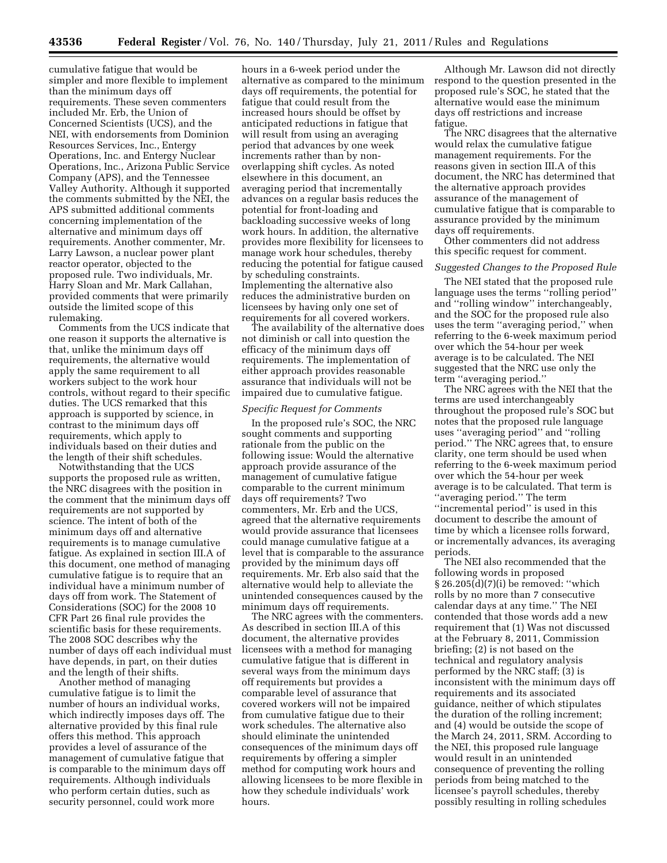cumulative fatigue that would be simpler and more flexible to implement than the minimum days off requirements. These seven commenters included Mr. Erb, the Union of Concerned Scientists (UCS), and the NEI, with endorsements from Dominion Resources Services, Inc., Entergy Operations, Inc. and Entergy Nuclear Operations, Inc., Arizona Public Service Company (APS), and the Tennessee Valley Authority. Although it supported the comments submitted by the NEI, the APS submitted additional comments concerning implementation of the alternative and minimum days off requirements. Another commenter, Mr. Larry Lawson, a nuclear power plant reactor operator, objected to the proposed rule. Two individuals, Mr. Harry Sloan and Mr. Mark Callahan, provided comments that were primarily outside the limited scope of this rulemaking.

Comments from the UCS indicate that one reason it supports the alternative is that, unlike the minimum days off requirements, the alternative would apply the same requirement to all workers subject to the work hour controls, without regard to their specific duties. The UCS remarked that this approach is supported by science, in contrast to the minimum days off requirements, which apply to individuals based on their duties and the length of their shift schedules.

Notwithstanding that the UCS supports the proposed rule as written, the NRC disagrees with the position in the comment that the minimum days off requirements are not supported by science. The intent of both of the minimum days off and alternative requirements is to manage cumulative fatigue. As explained in section III.A of this document, one method of managing cumulative fatigue is to require that an individual have a minimum number of days off from work. The Statement of Considerations (SOC) for the 2008 10 CFR Part 26 final rule provides the scientific basis for these requirements. The 2008 SOC describes why the number of days off each individual must have depends, in part, on their duties and the length of their shifts.

Another method of managing cumulative fatigue is to limit the number of hours an individual works, which indirectly imposes days off. The alternative provided by this final rule offers this method. This approach provides a level of assurance of the management of cumulative fatigue that is comparable to the minimum days off requirements. Although individuals who perform certain duties, such as security personnel, could work more

hours in a 6-week period under the alternative as compared to the minimum days off requirements, the potential for fatigue that could result from the increased hours should be offset by anticipated reductions in fatigue that will result from using an averaging period that advances by one week increments rather than by nonoverlapping shift cycles. As noted elsewhere in this document, an averaging period that incrementally advances on a regular basis reduces the potential for front-loading and backloading successive weeks of long work hours. In addition, the alternative provides more flexibility for licensees to manage work hour schedules, thereby reducing the potential for fatigue caused by scheduling constraints. Implementing the alternative also reduces the administrative burden on licensees by having only one set of requirements for all covered workers.

The availability of the alternative does not diminish or call into question the efficacy of the minimum days off requirements. The implementation of either approach provides reasonable assurance that individuals will not be impaired due to cumulative fatigue.

### *Specific Request for Comments*

In the proposed rule's SOC, the NRC sought comments and supporting rationale from the public on the following issue: Would the alternative approach provide assurance of the management of cumulative fatigue comparable to the current minimum days off requirements? Two commenters, Mr. Erb and the UCS, agreed that the alternative requirements would provide assurance that licensees could manage cumulative fatigue at a level that is comparable to the assurance provided by the minimum days off requirements. Mr. Erb also said that the alternative would help to alleviate the unintended consequences caused by the minimum days off requirements.

The NRC agrees with the commenters. As described in section III.A of this document, the alternative provides licensees with a method for managing cumulative fatigue that is different in several ways from the minimum days off requirements but provides a comparable level of assurance that covered workers will not be impaired from cumulative fatigue due to their work schedules. The alternative also should eliminate the unintended consequences of the minimum days off requirements by offering a simpler method for computing work hours and allowing licensees to be more flexible in how they schedule individuals' work hours.

Although Mr. Lawson did not directly respond to the question presented in the proposed rule's SOC, he stated that the alternative would ease the minimum days off restrictions and increase fatigue.

The NRC disagrees that the alternative would relax the cumulative fatigue management requirements. For the reasons given in section III.A of this document, the NRC has determined that the alternative approach provides assurance of the management of cumulative fatigue that is comparable to assurance provided by the minimum days off requirements.

Other commenters did not address this specific request for comment.

## *Suggested Changes to the Proposed Rule*

The NEI stated that the proposed rule language uses the terms "rolling period" and ''rolling window'' interchangeably, and the SOC for the proposed rule also uses the term ''averaging period,'' when referring to the 6-week maximum period over which the 54-hour per week average is to be calculated. The NEI suggested that the NRC use only the term ''averaging period.''

The NRC agrees with the NEI that the terms are used interchangeably throughout the proposed rule's SOC but notes that the proposed rule language uses ''averaging period'' and ''rolling period.'' The NRC agrees that, to ensure clarity, one term should be used when referring to the 6-week maximum period over which the 54-hour per week average is to be calculated. That term is ''averaging period.'' The term "incremental period" is used in this document to describe the amount of time by which a licensee rolls forward, or incrementally advances, its averaging periods.

The NEI also recommended that the following words in proposed § 26.205(d)(7)(i) be removed: ''which rolls by no more than 7 consecutive calendar days at any time.'' The NEI contended that those words add a new requirement that (1) Was not discussed at the February 8, 2011, Commission briefing; (2) is not based on the technical and regulatory analysis performed by the NRC staff; (3) is inconsistent with the minimum days off requirements and its associated guidance, neither of which stipulates the duration of the rolling increment; and (4) would be outside the scope of the March 24, 2011, SRM. According to the NEI, this proposed rule language would result in an unintended consequence of preventing the rolling periods from being matched to the licensee's payroll schedules, thereby possibly resulting in rolling schedules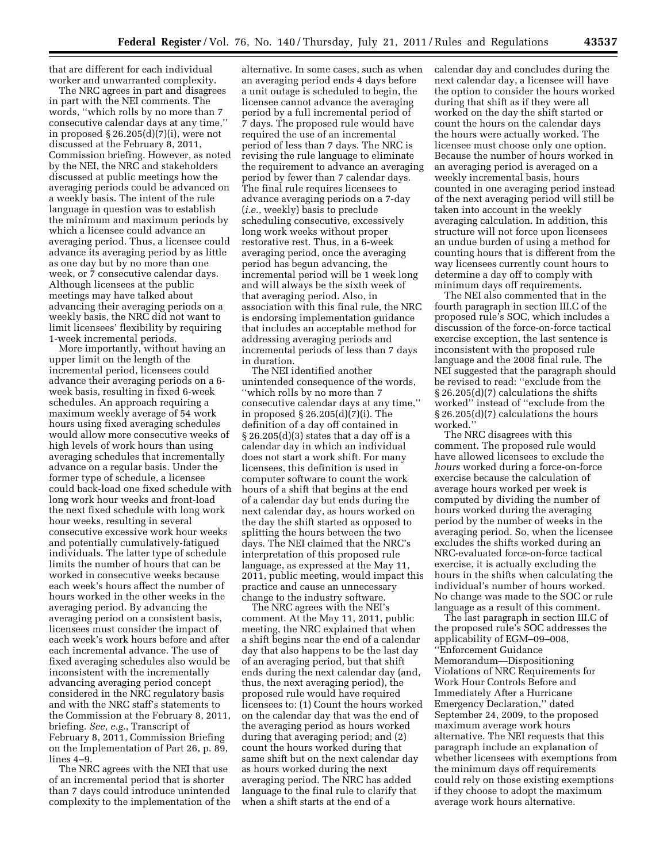that are different for each individual worker and unwarranted complexity.

The NRC agrees in part and disagrees in part with the NEI comments. The words, ''which rolls by no more than 7 consecutive calendar days at any time,'' in proposed § 26.205(d)(7)(i), were not discussed at the February 8, 2011, Commission briefing. However, as noted by the NEI, the NRC and stakeholders discussed at public meetings how the averaging periods could be advanced on a weekly basis. The intent of the rule language in question was to establish the minimum and maximum periods by which a licensee could advance an averaging period. Thus, a licensee could advance its averaging period by as little as one day but by no more than one week, or 7 consecutive calendar days. Although licensees at the public meetings may have talked about advancing their averaging periods on a weekly basis, the NRC did not want to limit licensees' flexibility by requiring 1-week incremental periods.

More importantly, without having an upper limit on the length of the incremental period, licensees could advance their averaging periods on a 6 week basis, resulting in fixed 6-week schedules. An approach requiring a maximum weekly average of 54 work hours using fixed averaging schedules would allow more consecutive weeks of high levels of work hours than using averaging schedules that incrementally advance on a regular basis. Under the former type of schedule, a licensee could back-load one fixed schedule with long work hour weeks and front-load the next fixed schedule with long work hour weeks, resulting in several consecutive excessive work hour weeks and potentially cumulatively-fatigued individuals. The latter type of schedule limits the number of hours that can be worked in consecutive weeks because each week's hours affect the number of hours worked in the other weeks in the averaging period. By advancing the averaging period on a consistent basis, licensees must consider the impact of each week's work hours before and after each incremental advance. The use of fixed averaging schedules also would be inconsistent with the incrementally advancing averaging period concept considered in the NRC regulatory basis and with the NRC staff's statements to the Commission at the February 8, 2011, briefing. *See, e.g.*, Transcript of February 8, 2011, Commission Briefing on the Implementation of Part 26, p. 89, lines 4–9.

The NRC agrees with the NEI that use of an incremental period that is shorter than 7 days could introduce unintended complexity to the implementation of the

alternative. In some cases, such as when an averaging period ends 4 days before a unit outage is scheduled to begin, the licensee cannot advance the averaging period by a full incremental period of 7 days. The proposed rule would have required the use of an incremental period of less than 7 days. The NRC is revising the rule language to eliminate the requirement to advance an averaging period by fewer than 7 calendar days. The final rule requires licensees to advance averaging periods on a 7-day (*i.e.*, weekly) basis to preclude scheduling consecutive, excessively long work weeks without proper restorative rest. Thus, in a 6-week averaging period, once the averaging period has begun advancing, the incremental period will be 1 week long and will always be the sixth week of that averaging period. Also, in association with this final rule, the NRC is endorsing implementation guidance that includes an acceptable method for addressing averaging periods and incremental periods of less than 7 days in duration.

The NEI identified another unintended consequence of the words, ''which rolls by no more than 7 consecutive calendar days at any time,'' in proposed § 26.205(d)(7)(i). The definition of a day off contained in  $\S 26.205(d)(3)$  states that a day off is a calendar day in which an individual does not start a work shift. For many licensees, this definition is used in computer software to count the work hours of a shift that begins at the end of a calendar day but ends during the next calendar day, as hours worked on the day the shift started as opposed to splitting the hours between the two days. The NEI claimed that the NRC's interpretation of this proposed rule language, as expressed at the May 11, 2011, public meeting, would impact this practice and cause an unnecessary change to the industry software.

The NRC agrees with the NEI's comment. At the May 11, 2011, public meeting, the NRC explained that when a shift begins near the end of a calendar day that also happens to be the last day of an averaging period, but that shift ends during the next calendar day (and, thus, the next averaging period), the proposed rule would have required licensees to: (1) Count the hours worked on the calendar day that was the end of the averaging period as hours worked during that averaging period; and (2) count the hours worked during that same shift but on the next calendar day as hours worked during the next averaging period. The NRC has added language to the final rule to clarify that when a shift starts at the end of a

calendar day and concludes during the next calendar day, a licensee will have the option to consider the hours worked during that shift as if they were all worked on the day the shift started or count the hours on the calendar days the hours were actually worked. The licensee must choose only one option. Because the number of hours worked in an averaging period is averaged on a weekly incremental basis, hours counted in one averaging period instead of the next averaging period will still be taken into account in the weekly averaging calculation. In addition, this structure will not force upon licensees an undue burden of using a method for counting hours that is different from the way licensees currently count hours to determine a day off to comply with minimum days off requirements.

The NEI also commented that in the fourth paragraph in section III.C of the proposed rule's SOC, which includes a discussion of the force-on-force tactical exercise exception, the last sentence is inconsistent with the proposed rule language and the 2008 final rule. The NEI suggested that the paragraph should be revised to read: ''exclude from the § 26.205(d)(7) calculations the shifts worked'' instead of ''exclude from the § 26.205(d)(7) calculations the hours worked.''

The NRC disagrees with this comment. The proposed rule would have allowed licensees to exclude the *hours* worked during a force-on-force exercise because the calculation of average hours worked per week is computed by dividing the number of hours worked during the averaging period by the number of weeks in the averaging period. So, when the licensee excludes the shifts worked during an NRC-evaluated force-on-force tactical exercise, it is actually excluding the hours in the shifts when calculating the individual's number of hours worked. No change was made to the SOC or rule language as a result of this comment.

The last paragraph in section III.C of the proposed rule's SOC addresses the applicability of EGM–09–008, ''Enforcement Guidance Memorandum—Dispositioning Violations of NRC Requirements for Work Hour Controls Before and Immediately After a Hurricane Emergency Declaration,'' dated September 24, 2009, to the proposed maximum average work hours alternative. The NEI requests that this paragraph include an explanation of whether licensees with exemptions from the minimum days off requirements could rely on those existing exemptions if they choose to adopt the maximum average work hours alternative.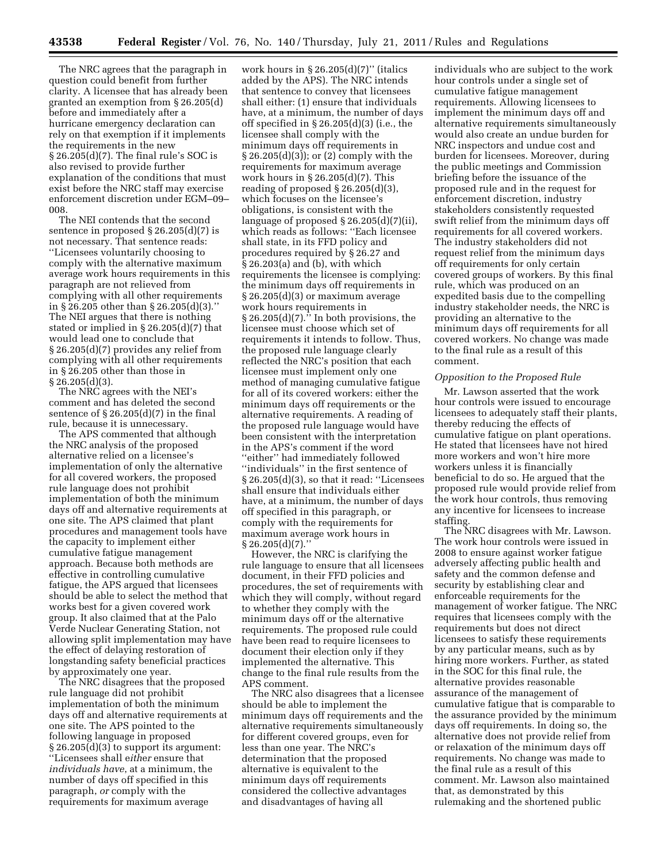The NRC agrees that the paragraph in question could benefit from further clarity. A licensee that has already been granted an exemption from § 26.205(d) before and immediately after a hurricane emergency declaration can rely on that exemption if it implements the requirements in the new § 26.205(d)(7). The final rule's SOC is also revised to provide further explanation of the conditions that must exist before the NRC staff may exercise enforcement discretion under EGM–09– 008.

The NEI contends that the second sentence in proposed § 26.205(d)(7) is not necessary. That sentence reads: ''Licensees voluntarily choosing to comply with the alternative maximum average work hours requirements in this paragraph are not relieved from complying with all other requirements in § 26.205 other than § 26.205(d)(3).'' The NEI argues that there is nothing stated or implied in § 26.205(d)(7) that would lead one to conclude that § 26.205(d)(7) provides any relief from complying with all other requirements in § 26.205 other than those in § 26.205(d)(3).

The NRC agrees with the NEI's comment and has deleted the second sentence of  $\S 26.205(d)(7)$  in the final rule, because it is unnecessary.

The APS commented that although the NRC analysis of the proposed alternative relied on a licensee's implementation of only the alternative for all covered workers, the proposed rule language does not prohibit implementation of both the minimum days off and alternative requirements at one site. The APS claimed that plant procedures and management tools have the capacity to implement either cumulative fatigue management approach. Because both methods are effective in controlling cumulative fatigue, the APS argued that licensees should be able to select the method that works best for a given covered work group. It also claimed that at the Palo Verde Nuclear Generating Station, not allowing split implementation may have the effect of delaying restoration of longstanding safety beneficial practices by approximately one year.

The NRC disagrees that the proposed rule language did not prohibit implementation of both the minimum days off and alternative requirements at one site. The APS pointed to the following language in proposed  $\S 26.205(d)(3)$  to support its argument: ''Licensees shall e*ith*e*r* ensure that *individuals have*, at a minimum, the number of days off specified in this paragraph, *or* comply with the requirements for maximum average

work hours in  $\S 26.205(d)(7)$ " (italics added by the APS). The NRC intends that sentence to convey that licensees shall either: (1) ensure that individuals have, at a minimum, the number of days off specified in § 26.205(d)(3) (i.e., the licensee shall comply with the minimum days off requirements in § 26.205(d)(3)); or (2) comply with the requirements for maximum average work hours in § 26.205(d)(7). This reading of proposed § 26.205(d)(3), which focuses on the licensee's obligations, is consistent with the language of proposed § 26.205(d)(7)(ii), which reads as follows: ''Each licensee shall state, in its FFD policy and procedures required by § 26.27 and § 26.203(a) and (b), with which requirements the licensee is complying: the minimum days off requirements in § 26.205(d)(3) or maximum average work hours requirements in  $\S 26.205(d)(7)$ ." In both provisions, the licensee must choose which set of requirements it intends to follow. Thus, the proposed rule language clearly reflected the NRC's position that each licensee must implement only one method of managing cumulative fatigue for all of its covered workers: either the minimum days off requirements or the alternative requirements. A reading of the proposed rule language would have been consistent with the interpretation in the APS's comment if the word ''either'' had immediately followed ''individuals'' in the first sentence of § 26.205(d)(3), so that it read: ''Licensees shall ensure that individuals either have, at a minimum, the number of days off specified in this paragraph, or comply with the requirements for maximum average work hours in  $§ 26.205(d)(7).$ 

However, the NRC is clarifying the rule language to ensure that all licensees document, in their FFD policies and procedures, the set of requirements with which they will comply, without regard to whether they comply with the minimum days off or the alternative requirements. The proposed rule could have been read to require licensees to document their election only if they implemented the alternative. This change to the final rule results from the APS comment.

The NRC also disagrees that a licensee should be able to implement the minimum days off requirements and the alternative requirements simultaneously for different covered groups, even for less than one year. The NRC's determination that the proposed alternative is equivalent to the minimum days off requirements considered the collective advantages and disadvantages of having all

individuals who are subject to the work hour controls under a single set of cumulative fatigue management requirements. Allowing licensees to implement the minimum days off and alternative requirements simultaneously would also create an undue burden for NRC inspectors and undue cost and burden for licensees. Moreover, during the public meetings and Commission briefing before the issuance of the proposed rule and in the request for enforcement discretion, industry stakeholders consistently requested swift relief from the minimum days off requirements for all covered workers. The industry stakeholders did not request relief from the minimum days off requirements for only certain covered groups of workers. By this final rule, which was produced on an expedited basis due to the compelling industry stakeholder needs, the NRC is providing an alternative to the minimum days off requirements for all covered workers. No change was made to the final rule as a result of this comment.

### *Opposition to the Proposed Rule*

Mr. Lawson asserted that the work hour controls were issued to encourage licensees to adequately staff their plants, thereby reducing the effects of cumulative fatigue on plant operations. He stated that licensees have not hired more workers and won't hire more workers unless it is financially beneficial to do so. He argued that the proposed rule would provide relief from the work hour controls, thus removing any incentive for licensees to increase staffing.

The NRC disagrees with Mr. Lawson. The work hour controls were issued in 2008 to ensure against worker fatigue adversely affecting public health and safety and the common defense and security by establishing clear and enforceable requirements for the management of worker fatigue. The NRC requires that licensees comply with the requirements but does not direct licensees to satisfy these requirements by any particular means, such as by hiring more workers. Further, as stated in the SOC for this final rule, the alternative provides reasonable assurance of the management of cumulative fatigue that is comparable to the assurance provided by the minimum days off requirements. In doing so, the alternative does not provide relief from or relaxation of the minimum days off requirements. No change was made to the final rule as a result of this comment. Mr. Lawson also maintained that, as demonstrated by this rulemaking and the shortened public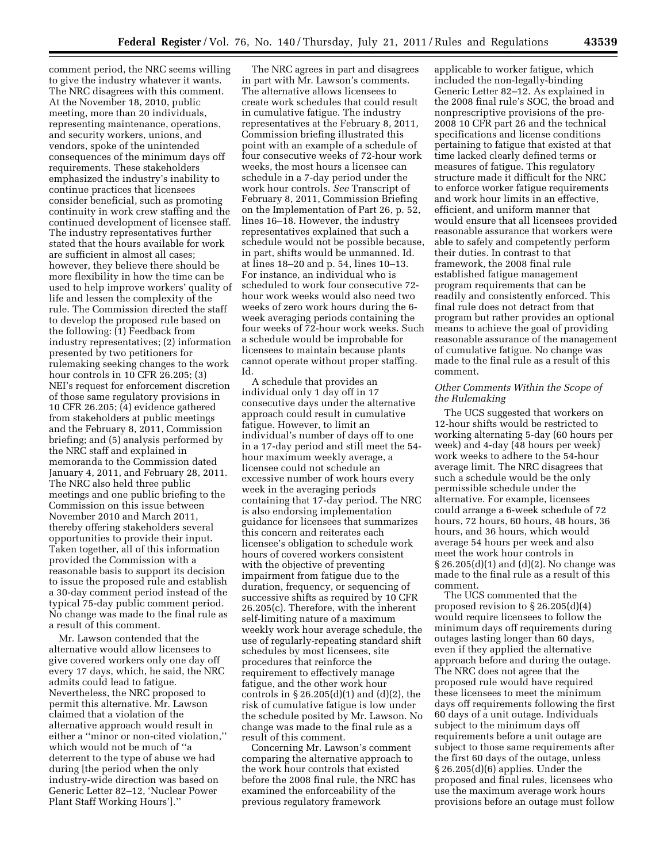comment period, the NRC seems willing to give the industry whatever it wants. The NRC disagrees with this comment. At the November 18, 2010, public meeting, more than 20 individuals, representing maintenance, operations, and security workers, unions, and vendors, spoke of the unintended consequences of the minimum days off requirements. These stakeholders emphasized the industry's inability to continue practices that licensees consider beneficial, such as promoting continuity in work crew staffing and the continued development of licensee staff. The industry representatives further stated that the hours available for work are sufficient in almost all cases; however, they believe there should be more flexibility in how the time can be used to help improve workers' quality of life and lessen the complexity of the rule. The Commission directed the staff to develop the proposed rule based on the following: (1) Feedback from industry representatives; (2) information presented by two petitioners for rulemaking seeking changes to the work hour controls in 10 CFR 26.205; (3) NEI's request for enforcement discretion of those same regulatory provisions in 10 CFR 26.205; (4) evidence gathered from stakeholders at public meetings and the February 8, 2011, Commission briefing; and (5) analysis performed by the NRC staff and explained in memoranda to the Commission dated January 4, 2011, and February 28, 2011. The NRC also held three public meetings and one public briefing to the Commission on this issue between November 2010 and March 2011, thereby offering stakeholders several opportunities to provide their input. Taken together, all of this information provided the Commission with a reasonable basis to support its decision to issue the proposed rule and establish a 30-day comment period instead of the typical 75-day public comment period. No change was made to the final rule as a result of this comment.

Mr. Lawson contended that the alternative would allow licensees to give covered workers only one day off every 17 days, which, he said, the NRC admits could lead to fatigue. Nevertheless, the NRC proposed to permit this alternative. Mr. Lawson claimed that a violation of the alternative approach would result in either a ''minor or non-cited violation,'' which would not be much of ''a deterrent to the type of abuse we had during [the period when the only industry-wide direction was based on Generic Letter 82–12, 'Nuclear Power Plant Staff Working Hours'].''

The NRC agrees in part and disagrees in part with Mr. Lawson's comments. The alternative allows licensees to create work schedules that could result in cumulative fatigue. The industry representatives at the February 8, 2011, Commission briefing illustrated this point with an example of a schedule of four consecutive weeks of 72-hour work weeks, the most hours a licensee can schedule in a 7-day period under the work hour controls. *See* Transcript of February 8, 2011, Commission Briefing on the Implementation of Part 26, p. 52, lines 16–18. However, the industry representatives explained that such a schedule would not be possible because, in part, shifts would be unmanned. Id. at lines 18–20 and p. 54, lines 10–13. For instance, an individual who is scheduled to work four consecutive 72 hour work weeks would also need two weeks of zero work hours during the 6 week averaging periods containing the four weeks of 72-hour work weeks. Such a schedule would be improbable for licensees to maintain because plants cannot operate without proper staffing. Id.

A schedule that provides an individual only 1 day off in 17 consecutive days under the alternative approach could result in cumulative fatigue. However, to limit an individual's number of days off to one in a 17-day period and still meet the 54 hour maximum weekly average, a licensee could not schedule an excessive number of work hours every week in the averaging periods containing that 17-day period. The NRC is also endorsing implementation guidance for licensees that summarizes this concern and reiterates each licensee's obligation to schedule work hours of covered workers consistent with the objective of preventing impairment from fatigue due to the duration, frequency, or sequencing of successive shifts as required by 10 CFR 26.205(c). Therefore, with the inherent self-limiting nature of a maximum weekly work hour average schedule, the use of regularly-repeating standard shift schedules by most licensees, site procedures that reinforce the requirement to effectively manage fatigue, and the other work hour controls in § 26.205(d)(1) and (d)(2), the risk of cumulative fatigue is low under the schedule posited by Mr. Lawson. No change was made to the final rule as a result of this comment.

Concerning Mr. Lawson's comment comparing the alternative approach to the work hour controls that existed before the 2008 final rule, the NRC has examined the enforceability of the previous regulatory framework

applicable to worker fatigue, which included the non-legally-binding Generic Letter 82–12. As explained in the 2008 final rule's SOC, the broad and nonprescriptive provisions of the pre-2008 10 CFR part 26 and the technical specifications and license conditions pertaining to fatigue that existed at that time lacked clearly defined terms or measures of fatigue. This regulatory structure made it difficult for the NRC to enforce worker fatigue requirements and work hour limits in an effective, efficient, and uniform manner that would ensure that all licensees provided reasonable assurance that workers were able to safely and competently perform their duties. In contrast to that framework, the 2008 final rule established fatigue management program requirements that can be readily and consistently enforced. This final rule does not detract from that program but rather provides an optional means to achieve the goal of providing reasonable assurance of the management of cumulative fatigue. No change was made to the final rule as a result of this comment.

# *Other Comments Within the Scope of the Rulemaking*

The UCS suggested that workers on 12-hour shifts would be restricted to working alternating 5-day (60 hours per week) and 4-day (48 hours per week) work weeks to adhere to the 54-hour average limit. The NRC disagrees that such a schedule would be the only permissible schedule under the alternative. For example, licensees could arrange a 6-week schedule of 72 hours, 72 hours, 60 hours, 48 hours, 36 hours, and 36 hours, which would average 54 hours per week and also meet the work hour controls in § 26.205(d)(1) and (d)(2). No change was made to the final rule as a result of this comment.

The UCS commented that the proposed revision to § 26.205(d)(4) would require licensees to follow the minimum days off requirements during outages lasting longer than 60 days, even if they applied the alternative approach before and during the outage. The NRC does not agree that the proposed rule would have required these licensees to meet the minimum days off requirements following the first 60 days of a unit outage. Individuals subject to the minimum days off requirements before a unit outage are subject to those same requirements after the first 60 days of the outage, unless § 26.205(d)(6) applies. Under the proposed and final rules, licensees who use the maximum average work hours provisions before an outage must follow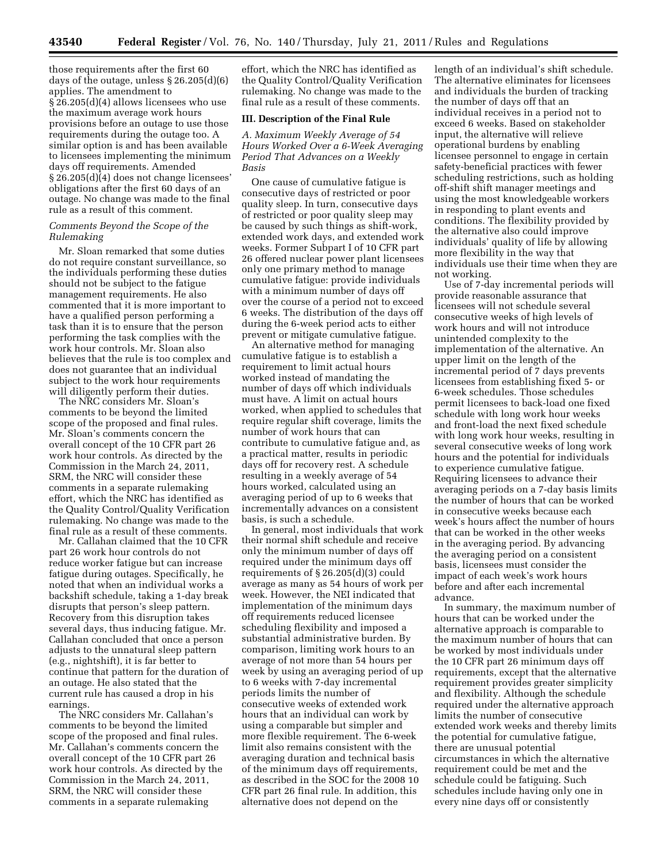those requirements after the first 60 days of the outage, unless § 26.205(d)(6) applies. The amendment to § 26.205(d)(4) allows licensees who use the maximum average work hours provisions before an outage to use those requirements during the outage too. A similar option is and has been available to licensees implementing the minimum days off requirements. Amended § 26.205(d)(4) does not change licensees' obligations after the first 60 days of an outage. No change was made to the final rule as a result of this comment.

## *Comments Beyond the Scope of the Rulemaking*

Mr. Sloan remarked that some duties do not require constant surveillance, so the individuals performing these duties should not be subject to the fatigue management requirements. He also commented that it is more important to have a qualified person performing a task than it is to ensure that the person performing the task complies with the work hour controls. Mr. Sloan also believes that the rule is too complex and does not guarantee that an individual subject to the work hour requirements will diligently perform their duties.

The NRC considers Mr. Sloan's comments to be beyond the limited scope of the proposed and final rules. Mr. Sloan's comments concern the overall concept of the 10 CFR part 26 work hour controls. As directed by the Commission in the March 24, 2011, SRM, the NRC will consider these comments in a separate rulemaking effort, which the NRC has identified as the Quality Control/Quality Verification rulemaking. No change was made to the final rule as a result of these comments.

Mr. Callahan claimed that the 10 CFR part 26 work hour controls do not reduce worker fatigue but can increase fatigue during outages. Specifically, he noted that when an individual works a backshift schedule, taking a 1-day break disrupts that person's sleep pattern. Recovery from this disruption takes several days, thus inducing fatigue. Mr. Callahan concluded that once a person adjusts to the unnatural sleep pattern (e.g., nightshift), it is far better to continue that pattern for the duration of an outage. He also stated that the current rule has caused a drop in his earnings.

The NRC considers Mr. Callahan's comments to be beyond the limited scope of the proposed and final rules. Mr. Callahan's comments concern the overall concept of the 10 CFR part 26 work hour controls. As directed by the Commission in the March 24, 2011, SRM, the NRC will consider these comments in a separate rulemaking

effort, which the NRC has identified as the Quality Control/Quality Verification rulemaking. No change was made to the final rule as a result of these comments.

### **III. Description of the Final Rule**

*A. Maximum Weekly Average of 54 Hours Worked Over a 6-Week Averaging Period That Advances on a Weekly Basis* 

One cause of cumulative fatigue is consecutive days of restricted or poor quality sleep. In turn, consecutive days of restricted or poor quality sleep may be caused by such things as shift-work, extended work days, and extended work weeks. Former Subpart I of 10 CFR part 26 offered nuclear power plant licensees only one primary method to manage cumulative fatigue: provide individuals with a minimum number of days off over the course of a period not to exceed 6 weeks. The distribution of the days off during the 6-week period acts to either prevent or mitigate cumulative fatigue.

An alternative method for managing cumulative fatigue is to establish a requirement to limit actual hours worked instead of mandating the number of days off which individuals must have. A limit on actual hours worked, when applied to schedules that require regular shift coverage, limits the number of work hours that can contribute to cumulative fatigue and, as a practical matter, results in periodic days off for recovery rest. A schedule resulting in a weekly average of 54 hours worked, calculated using an averaging period of up to 6 weeks that incrementally advances on a consistent basis, is such a schedule.

In general, most individuals that work their normal shift schedule and receive only the minimum number of days off required under the minimum days off requirements of § 26.205(d)(3) could average as many as 54 hours of work per week. However, the NEI indicated that implementation of the minimum days off requirements reduced licensee scheduling flexibility and imposed a substantial administrative burden. By comparison, limiting work hours to an average of not more than 54 hours per week by using an averaging period of up to 6 weeks with 7-day incremental periods limits the number of consecutive weeks of extended work hours that an individual can work by using a comparable but simpler and more flexible requirement. The 6-week limit also remains consistent with the averaging duration and technical basis of the minimum days off requirements, as described in the SOC for the 2008 10 CFR part 26 final rule. In addition, this alternative does not depend on the

length of an individual's shift schedule. The alternative eliminates for licensees and individuals the burden of tracking the number of days off that an individual receives in a period not to exceed 6 weeks. Based on stakeholder input, the alternative will relieve operational burdens by enabling licensee personnel to engage in certain safety-beneficial practices with fewer scheduling restrictions, such as holding off-shift shift manager meetings and using the most knowledgeable workers in responding to plant events and conditions. The flexibility provided by the alternative also could improve individuals' quality of life by allowing more flexibility in the way that individuals use their time when they are not working.

Use of 7-day incremental periods will provide reasonable assurance that licensees will not schedule several consecutive weeks of high levels of work hours and will not introduce unintended complexity to the implementation of the alternative. An upper limit on the length of the incremental period of 7 days prevents licensees from establishing fixed 5- or 6-week schedules. Those schedules permit licensees to back-load one fixed schedule with long work hour weeks and front-load the next fixed schedule with long work hour weeks, resulting in several consecutive weeks of long work hours and the potential for individuals to experience cumulative fatigue. Requiring licensees to advance their averaging periods on a 7-day basis limits the number of hours that can be worked in consecutive weeks because each week's hours affect the number of hours that can be worked in the other weeks in the averaging period. By advancing the averaging period on a consistent basis, licensees must consider the impact of each week's work hours before and after each incremental advance.

In summary, the maximum number of hours that can be worked under the alternative approach is comparable to the maximum number of hours that can be worked by most individuals under the 10 CFR part 26 minimum days off requirements, except that the alternative requirement provides greater simplicity and flexibility. Although the schedule required under the alternative approach limits the number of consecutive extended work weeks and thereby limits the potential for cumulative fatigue, there are unusual potential circumstances in which the alternative requirement could be met and the schedule could be fatiguing. Such schedules include having only one in every nine days off or consistently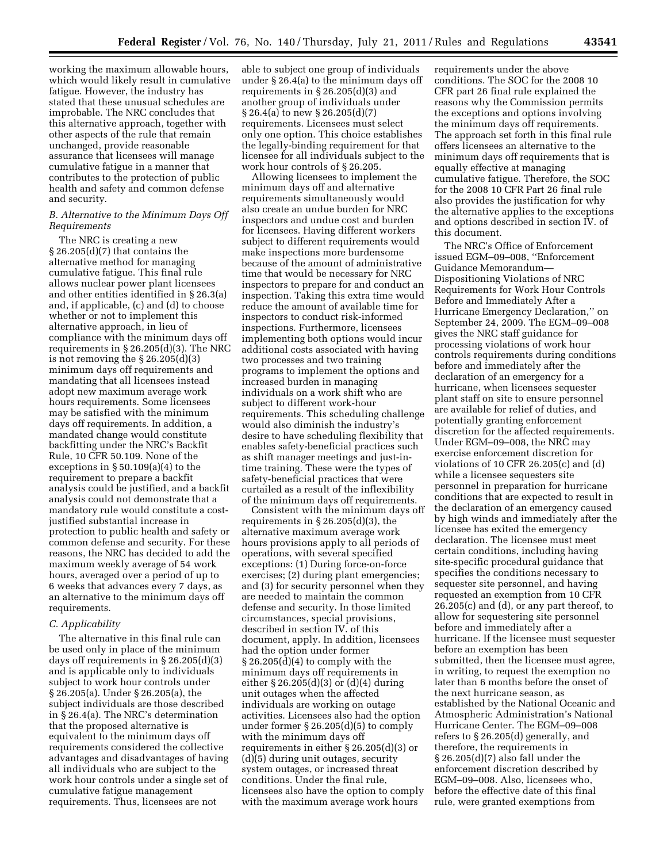working the maximum allowable hours, which would likely result in cumulative fatigue. However, the industry has stated that these unusual schedules are improbable. The NRC concludes that this alternative approach, together with other aspects of the rule that remain unchanged, provide reasonable assurance that licensees will manage cumulative fatigue in a manner that contributes to the protection of public health and safety and common defense and security.

# *B. Alternative to the Minimum Days Off Requirements*

The NRC is creating a new § 26.205(d)(7) that contains the alternative method for managing cumulative fatigue. This final rule allows nuclear power plant licensees and other entities identified in § 26.3(a) and, if applicable, (c) and (d) to choose whether or not to implement this alternative approach, in lieu of compliance with the minimum days off requirements in § 26.205(d)(3). The NRC is not removing the  $\S 26.205(d)(3)$ minimum days off requirements and mandating that all licensees instead adopt new maximum average work hours requirements. Some licensees may be satisfied with the minimum days off requirements. In addition, a mandated change would constitute backfitting under the NRC's Backfit Rule, 10 CFR 50.109. None of the exceptions in  $\S 50.109(a)(4)$  to the requirement to prepare a backfit analysis could be justified, and a backfit analysis could not demonstrate that a mandatory rule would constitute a costjustified substantial increase in protection to public health and safety or common defense and security. For these reasons, the NRC has decided to add the maximum weekly average of 54 work hours, averaged over a period of up to 6 weeks that advances every 7 days, as an alternative to the minimum days off requirements.

## *C. Applicability*

The alternative in this final rule can be used only in place of the minimum days off requirements in § 26.205(d)(3) and is applicable only to individuals subject to work hour controls under § 26.205(a). Under § 26.205(a), the subject individuals are those described in § 26.4(a). The NRC's determination that the proposed alternative is equivalent to the minimum days off requirements considered the collective advantages and disadvantages of having all individuals who are subject to the work hour controls under a single set of cumulative fatigue management requirements. Thus, licensees are not

able to subject one group of individuals under § 26.4(a) to the minimum days off requirements in § 26.205(d)(3) and another group of individuals under § 26.4(a) to new § 26.205(d)(7) requirements. Licensees must select only one option. This choice establishes the legally-binding requirement for that licensee for all individuals subject to the work hour controls of § 26.205.

Allowing licensees to implement the minimum days off and alternative requirements simultaneously would also create an undue burden for NRC inspectors and undue cost and burden for licensees. Having different workers subject to different requirements would make inspections more burdensome because of the amount of administrative time that would be necessary for NRC inspectors to prepare for and conduct an inspection. Taking this extra time would reduce the amount of available time for inspectors to conduct risk-informed inspections. Furthermore, licensees implementing both options would incur additional costs associated with having two processes and two training programs to implement the options and increased burden in managing individuals on a work shift who are subject to different work-hour requirements. This scheduling challenge would also diminish the industry's desire to have scheduling flexibility that enables safety-beneficial practices such as shift manager meetings and just-intime training. These were the types of safety-beneficial practices that were curtailed as a result of the inflexibility of the minimum days off requirements.

Consistent with the minimum days off requirements in § 26.205(d)(3), the alternative maximum average work hours provisions apply to all periods of operations, with several specified exceptions: (1) During force-on-force exercises; (2) during plant emergencies; and (3) for security personnel when they are needed to maintain the common defense and security. In those limited circumstances, special provisions, described in section IV. of this document, apply. In addition, licensees had the option under former  $\S 26.205(d)(4)$  to comply with the minimum days off requirements in either § 26.205(d)(3) or (d)(4) during unit outages when the affected individuals are working on outage activities. Licensees also had the option under former § 26.205(d)(5) to comply with the minimum days off requirements in either § 26.205(d)(3) or (d)(5) during unit outages, security system outages, or increased threat conditions. Under the final rule, licensees also have the option to comply with the maximum average work hours

requirements under the above conditions. The SOC for the 2008 10 CFR part 26 final rule explained the reasons why the Commission permits the exceptions and options involving the minimum days off requirements. The approach set forth in this final rule offers licensees an alternative to the minimum days off requirements that is equally effective at managing cumulative fatigue. Therefore, the SOC for the 2008 10 CFR Part 26 final rule also provides the justification for why the alternative applies to the exceptions and options described in section IV. of this document.

The NRC's Office of Enforcement issued EGM–09–008, ''Enforcement Guidance Memorandum— Dispositioning Violations of NRC Requirements for Work Hour Controls Before and Immediately After a Hurricane Emergency Declaration,'' on September 24, 2009. The EGM–09–008 gives the NRC staff guidance for processing violations of work hour controls requirements during conditions before and immediately after the declaration of an emergency for a hurricane, when licensees sequester plant staff on site to ensure personnel are available for relief of duties, and potentially granting enforcement discretion for the affected requirements. Under EGM–09–008, the NRC may exercise enforcement discretion for violations of 10 CFR 26.205(c) and (d) while a licensee sequesters site personnel in preparation for hurricane conditions that are expected to result in the declaration of an emergency caused by high winds and immediately after the licensee has exited the emergency declaration. The licensee must meet certain conditions, including having site-specific procedural guidance that specifies the conditions necessary to sequester site personnel, and having requested an exemption from 10 CFR 26.205(c) and (d), or any part thereof, to allow for sequestering site personnel before and immediately after a hurricane. If the licensee must sequester before an exemption has been submitted, then the licensee must agree, in writing, to request the exemption no later than 6 months before the onset of the next hurricane season, as established by the National Oceanic and Atmospheric Administration's National Hurricane Center. The EGM–09–008 refers to § 26.205(d) generally, and therefore, the requirements in § 26.205(d)(7) also fall under the enforcement discretion described by EGM–09–008. Also, licensees who, before the effective date of this final rule, were granted exemptions from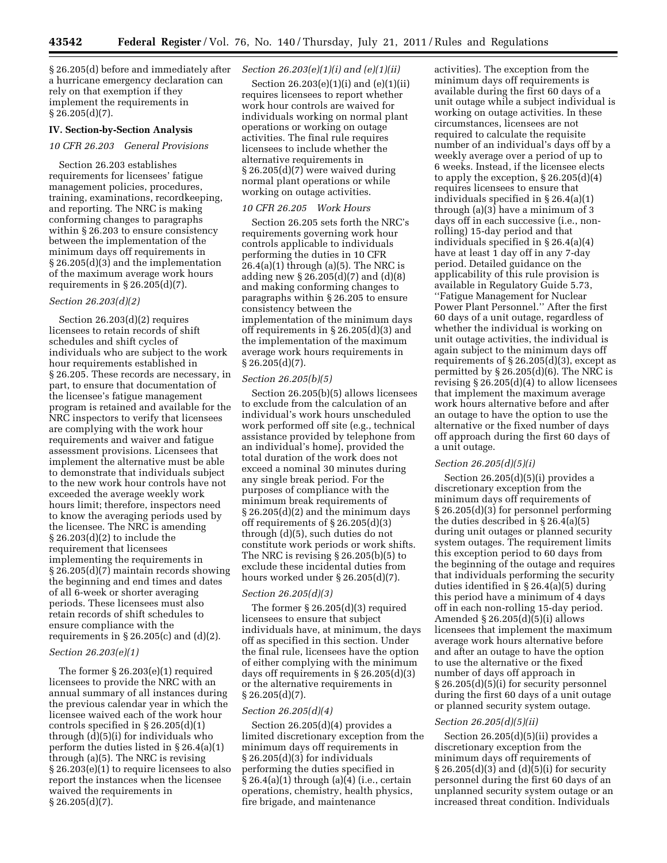§ 26.205(d) before and immediately after a hurricane emergency declaration can rely on that exemption if they implement the requirements in  $§ 26.205(d)(7).$ 

### **IV. Section-by-Section Analysis**

### *10 CFR 26.203 General Provisions*

Section 26.203 establishes requirements for licensees' fatigue management policies, procedures, training, examinations, recordkeeping, and reporting. The NRC is making conforming changes to paragraphs within § 26.203 to ensure consistency between the implementation of the minimum days off requirements in § 26.205(d)(3) and the implementation of the maximum average work hours requirements in  $\S 26.205(d)(7)$ .

### *Section 26.203(d)(2)*

Section 26.203(d)(2) requires licensees to retain records of shift schedules and shift cycles of individuals who are subject to the work hour requirements established in § 26.205. These records are necessary, in part, to ensure that documentation of the licensee's fatigue management program is retained and available for the NRC inspectors to verify that licensees are complying with the work hour requirements and waiver and fatigue assessment provisions. Licensees that implement the alternative must be able to demonstrate that individuals subject to the new work hour controls have not exceeded the average weekly work hours limit; therefore, inspectors need to know the averaging periods used by the licensee. The NRC is amending § 26.203(d)(2) to include the requirement that licensees implementing the requirements in § 26.205(d)(7) maintain records showing the beginning and end times and dates of all 6-week or shorter averaging periods. These licensees must also retain records of shift schedules to ensure compliance with the requirements in  $\S 26.205(c)$  and  $(d)(2)$ .

### *Section 26.203(e)(1)*

The former § 26.203(e)(1) required licensees to provide the NRC with an annual summary of all instances during the previous calendar year in which the licensee waived each of the work hour controls specified in § 26.205(d)(1) through (d)(5)(i) for individuals who perform the duties listed in § 26.4(a)(1) through (a)(5). The NRC is revising § 26.203(e)(1) to require licensees to also report the instances when the licensee waived the requirements in § 26.205(d)(7).

## *Section 26.203(e)(1)(i) and (e)(1)(ii)*

Section 26.203(e)(1)(i) and (e)(1)(ii) requires licensees to report whether work hour controls are waived for individuals working on normal plant operations or working on outage activities. The final rule requires licensees to include whether the alternative requirements in § 26.205(d)(7) were waived during normal plant operations or while working on outage activities.

### *10 CFR 26.205 Work Hours*

Section 26.205 sets forth the NRC's requirements governing work hour controls applicable to individuals performing the duties in 10 CFR 26.4(a)(1) through (a)(5). The NRC is adding new § 26.205(d)(7) and (d)(8) and making conforming changes to paragraphs within § 26.205 to ensure consistency between the implementation of the minimum days off requirements in § 26.205(d)(3) and the implementation of the maximum average work hours requirements in  $§ 26.205(d)(7).$ 

### *Section 26.205(b)(5)*

Section 26.205(b)(5) allows licensees to exclude from the calculation of an individual's work hours unscheduled work performed off site (e.g., technical assistance provided by telephone from an individual's home), provided the total duration of the work does not exceed a nominal 30 minutes during any single break period. For the purposes of compliance with the minimum break requirements of § 26.205(d)(2) and the minimum days off requirements of § 26.205(d)(3) through (d)(5), such duties do not constitute work periods or work shifts. The NRC is revising § 26.205(b)(5) to exclude these incidental duties from hours worked under § 26.205(d)(7).

## *Section 26.205(d)(3)*

The former § 26.205(d)(3) required licensees to ensure that subject individuals have, at minimum, the days off as specified in this section. Under the final rule, licensees have the option of either complying with the minimum days off requirements in § 26.205(d)(3) or the alternative requirements in § 26.205(d)(7).

### *Section 26.205(d)(4)*

Section 26.205(d)(4) provides a limited discretionary exception from the minimum days off requirements in § 26.205(d)(3) for individuals performing the duties specified in  $\S\,26.4(a)(1)$  through (a)(4) (i.e., certain operations, chemistry, health physics, fire brigade, and maintenance

activities). The exception from the minimum days off requirements is available during the first 60 days of a unit outage while a subject individual is working on outage activities. In these circumstances, licensees are not required to calculate the requisite number of an individual's days off by a weekly average over a period of up to 6 weeks. Instead, if the licensee elects to apply the exception,  $\S 26.205(d)(4)$ requires licensees to ensure that individuals specified in § 26.4(a)(1) through  $(a)(3)$  have a minimum of 3 days off in each successive (i.e., nonrolling) 15-day period and that individuals specified in § 26.4(a)(4) have at least 1 day off in any 7-day period. Detailed guidance on the applicability of this rule provision is available in Regulatory Guide 5.73, ''Fatigue Management for Nuclear Power Plant Personnel.'' After the first 60 days of a unit outage, regardless of whether the individual is working on unit outage activities, the individual is again subject to the minimum days off requirements of  $\S 26.205(d)(3)$ , except as permitted by  $\S 26.205(d)(6)$ . The NRC is revising § 26.205(d)(4) to allow licensees that implement the maximum average work hours alternative before and after an outage to have the option to use the alternative or the fixed number of days off approach during the first 60 days of a unit outage.

#### *Section 26.205(d)(5)(i)*

Section 26.205(d)(5)(i) provides a discretionary exception from the minimum days off requirements of § 26.205(d)(3) for personnel performing the duties described in § 26.4(a)(5) during unit outages or planned security system outages. The requirement limits this exception period to 60 days from the beginning of the outage and requires that individuals performing the security duties identified in § 26.4(a)(5) during this period have a minimum of 4 days off in each non-rolling 15-day period. Amended § 26.205(d)(5)(i) allows licensees that implement the maximum average work hours alternative before and after an outage to have the option to use the alternative or the fixed number of days off approach in § 26.205(d)(5)(i) for security personnel during the first 60 days of a unit outage or planned security system outage.

### *Section 26.205(d)(5)(ii)*

Section 26.205(d)(5)(ii) provides a discretionary exception from the minimum days off requirements of § 26.205(d)(3) and (d)(5)(i) for security personnel during the first 60 days of an unplanned security system outage or an increased threat condition. Individuals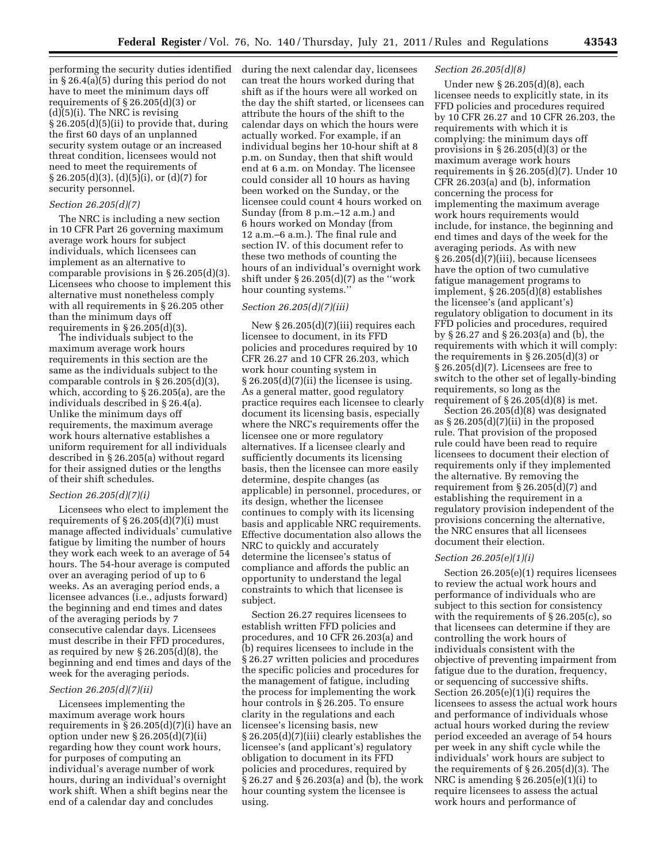performing the security duties identified in § 26.4(a)(5) during this period do not have to meet the minimum days off requirements of § 26.205(d)(3) or  $(d)(5)(i)$ . The NRC is revising § 26.205(d)(5)(ii) to provide that, during the first 60 days of an unplanned security system outage or an increased threat condition, licensees would not need to meet the requirements of  $\S 26.205(d)(3)$ , (d)(5)(i), or (d)(7) for security personnel.

## *Section 26.205(d)(7)*

The NRC is including a new section in 10 CFR Part 26 governing maximum average work hours for subject individuals, which licensees can implement as an alternative to comparable provisions in § 26.205(d)(3). Licensees who choose to implement this alternative must nonetheless comply with all requirements in § 26.205 other than the minimum days off requirements in  $\S 26.205(d)(3)$ .

The individuals subject to the maximum average work hours requirements in this section are the same as the individuals subject to the comparable controls in § 26.205(d)(3), which, according to § 26.205(a), are the individuals described in § 26.4(a). Unlike the minimum days off requirements, the maximum average work hours alternative establishes a uniform requirement for all individuals described in § 26.205(a) without regard for their assigned duties or the lengths of their shift schedules.

### *Section 26.205(d)(7)(i)*

Licensees who elect to implement the requirements of  $\S 26.205(d)(7)(i)$  must manage affected individuals' cumulative fatigue by limiting the number of hours they work each week to an average of 54 hours. The 54-hour average is computed over an averaging period of up to 6 weeks. As an averaging period ends, a licensee advances (i.e., adjusts forward) the beginning and end times and dates of the averaging periods by 7 consecutive calendar days. Licensees must describe in their FFD procedures, as required by new § 26.205(d)(8), the beginning and end times and days of the week for the averaging periods.

### *Section 26.205(d)(7)(ii)*

Licensees implementing the maximum average work hours requirements in  $\S 26.205(d)(7)(i)$  have an option under new § 26.205(d)(7)(ii) regarding how they count work hours, for purposes of computing an individual's average number of work hours, during an individual's overnight work shift. When a shift begins near the end of a calendar day and concludes

during the next calendar day, licensees can treat the hours worked during that shift as if the hours were all worked on the day the shift started, or licensees can attribute the hours of the shift to the calendar days on which the hours were actually worked. For example, if an individual begins her 10-hour shift at 8 p.m. on Sunday, then that shift would end at 6 a.m. on Monday. The licensee could consider all 10 hours as having been worked on the Sunday, or the licensee could count 4 hours worked on Sunday (from 8 p.m.–12 a.m.) and 6 hours worked on Monday (from 12 a.m.–6 a.m.). The final rule and section IV. of this document refer to these two methods of counting the hours of an individual's overnight work shift under  $\S 26.205(d)(7)$  as the "work" hour counting systems.''

### *Section 26.205(d)(7)(iii)*

New § 26.205(d)(7)(iii) requires each licensee to document, in its FFD policies and procedures required by 10 CFR 26.27 and 10 CFR 26.203, which work hour counting system in § 26.205(d)(7)(ii) the licensee is using. As a general matter, good regulatory practice requires each licensee to clearly document its licensing basis, especially where the NRC's requirements offer the licensee one or more regulatory alternatives. If a licensee clearly and sufficiently documents its licensing basis, then the licensee can more easily determine, despite changes (as applicable) in personnel, procedures, or its design, whether the licensee continues to comply with its licensing basis and applicable NRC requirements. Effective documentation also allows the NRC to quickly and accurately determine the licensee's status of compliance and affords the public an opportunity to understand the legal constraints to which that licensee is subject.

Section 26.27 requires licensees to establish written FFD policies and procedures, and 10 CFR 26.203(a) and (b) requires licensees to include in the § 26.27 written policies and procedures the specific policies and procedures for the management of fatigue, including the process for implementing the work hour controls in § 26.205. To ensure clarity in the regulations and each licensee's licensing basis, new § 26.205(d)(7)(iii) clearly establishes the licensee's (and applicant's) regulatory obligation to document in its FFD policies and procedures, required by § 26.27 and § 26.203(a) and (b), the work hour counting system the licensee is using.

### *Section 26.205(d)(8)*

Under new § 26.205(d)(8), each licensee needs to explicitly state, in its FFD policies and procedures required by 10 CFR 26.27 and 10 CFR 26.203, the requirements with which it is complying: the minimum days off provisions in § 26.205(d)(3) or the maximum average work hours requirements in  $\S 26.205(d)(7)$ . Under 10 CFR 26.203(a) and (b), information concerning the process for implementing the maximum average work hours requirements would include, for instance, the beginning and end times and days of the week for the averaging periods. As with new § 26.205(d)(7)(iii), because licensees have the option of two cumulative fatigue management programs to implement, § 26.205(d)(8) establishes the licensee's (and applicant's) regulatory obligation to document in its FFD policies and procedures, required by § 26.27 and § 26.203(a) and (b), the requirements with which it will comply: the requirements in § 26.205(d)(3) or § 26.205(d)(7). Licensees are free to switch to the other set of legally-binding requirements, so long as the requirement of  $\S 26.205(d)(8)$  is met.

Section 26.205(d)(8) was designated as  $\S 26.205(d)(7)(ii)$  in the proposed rule. That provision of the proposed rule could have been read to require licensees to document their election of requirements only if they implemented the alternative. By removing the requirement from § 26.205(d)(7) and establishing the requirement in a regulatory provision independent of the provisions concerning the alternative, the NRC ensures that all licensees document their election.

### *Section 26.205(e)(1)(i)*

Section 26.205(e)(1) requires licensees to review the actual work hours and performance of individuals who are subject to this section for consistency with the requirements of § 26.205(c), so that licensees can determine if they are controlling the work hours of individuals consistent with the objective of preventing impairment from fatigue due to the duration, frequency, or sequencing of successive shifts. Section 26.205(e)(1)(i) requires the licensees to assess the actual work hours and performance of individuals whose actual hours worked during the review period exceeded an average of 54 hours per week in any shift cycle while the individuals' work hours are subject to the requirements of § 26.205(d)(3). The NRC is amending  $\S 26.205(e)(1)(i)$  to require licensees to assess the actual work hours and performance of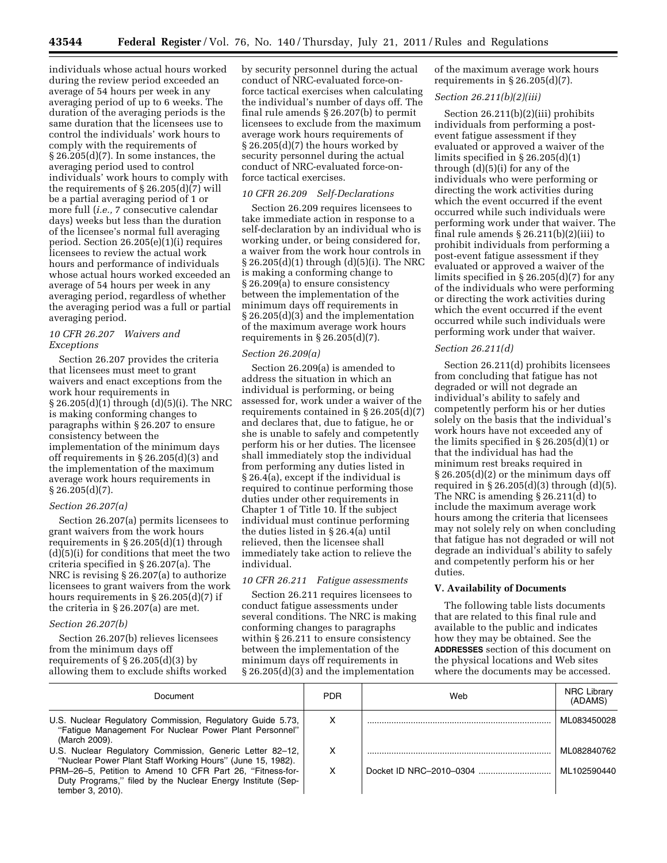individuals whose actual hours worked during the review period exceeded an average of 54 hours per week in any averaging period of up to 6 weeks. The duration of the averaging periods is the same duration that the licensees use to control the individuals' work hours to comply with the requirements of § 26.205(d)(7). In some instances, the averaging period used to control individuals' work hours to comply with the requirements of § 26.205(d)(7) will be a partial averaging period of 1 or more full (*i.e.,* 7 consecutive calendar days) weeks but less than the duration of the licensee's normal full averaging period. Section 26.205(e)(1)(i) requires licensees to review the actual work hours and performance of individuals whose actual hours worked exceeded an average of 54 hours per week in any averaging period, regardless of whether the averaging period was a full or partial averaging period.

## *10 CFR 26.207 Waivers and Exceptions*

Section 26.207 provides the criteria that licensees must meet to grant waivers and enact exceptions from the work hour requirements in § 26.205(d)(1) through (d)(5)(i). The NRC is making conforming changes to paragraphs within § 26.207 to ensure consistency between the implementation of the minimum days off requirements in § 26.205(d)(3) and the implementation of the maximum average work hours requirements in § 26.205(d)(7).

## *Section 26.207(a)*

Section 26.207(a) permits licensees to grant waivers from the work hours requirements in § 26.205(d)(1) through (d)(5)(i) for conditions that meet the two criteria specified in § 26.207(a). The NRC is revising § 26.207(a) to authorize licensees to grant waivers from the work hours requirements in § 26.205(d)(7) if the criteria in § 26.207(a) are met.

#### *Section 26.207(b)*

Section 26.207(b) relieves licensees from the minimum days off requirements of  $\S 26.205(d)(3)$  by allowing them to exclude shifts worked by security personnel during the actual conduct of NRC-evaluated force-onforce tactical exercises when calculating the individual's number of days off. The final rule amends § 26.207(b) to permit licensees to exclude from the maximum average work hours requirements of § 26.205(d)(7) the hours worked by security personnel during the actual conduct of NRC-evaluated force-onforce tactical exercises.

### *10 CFR 26.209 Self-Declarations*

Section 26.209 requires licensees to take immediate action in response to a self-declaration by an individual who is working under, or being considered for, a waiver from the work hour controls in § 26.205(d)(1) through (d)(5)(i). The NRC is making a conforming change to § 26.209(a) to ensure consistency between the implementation of the minimum days off requirements in § 26.205(d)(3) and the implementation of the maximum average work hours requirements in  $\S 26.205(d)(7)$ .

## *Section 26.209(a)*

Section 26.209(a) is amended to address the situation in which an individual is performing, or being assessed for, work under a waiver of the requirements contained in § 26.205(d)(7) and declares that, due to fatigue, he or she is unable to safely and competently perform his or her duties. The licensee shall immediately stop the individual from performing any duties listed in § 26.4(a), except if the individual is required to continue performing those duties under other requirements in Chapter 1 of Title 10. If the subject individual must continue performing the duties listed in § 26.4(a) until relieved, then the licensee shall immediately take action to relieve the individual.

## *10 CFR 26.211 Fatigue assessments*

Section 26.211 requires licensees to conduct fatigue assessments under several conditions. The NRC is making conforming changes to paragraphs within § 26.211 to ensure consistency between the implementation of the minimum days off requirements in § 26.205(d)(3) and the implementation

of the maximum average work hours requirements in  $\S 26.205(d)(7)$ .

### *Section 26.211(b)(2)(iii)*

Section 26.211(b)(2)(iii) prohibits individuals from performing a postevent fatigue assessment if they evaluated or approved a waiver of the limits specified in  $\S 26.205(d)(1)$ through (d)(5)(i) for any of the individuals who were performing or directing the work activities during which the event occurred if the event occurred while such individuals were performing work under that waiver. The final rule amends  $\S 26.211(b)(2)(iii)$  to prohibit individuals from performing a post-event fatigue assessment if they evaluated or approved a waiver of the limits specified in § 26.205(d)(7) for any of the individuals who were performing or directing the work activities during which the event occurred if the event occurred while such individuals were performing work under that waiver.

### *Section 26.211(d)*

Section 26.211(d) prohibits licensees from concluding that fatigue has not degraded or will not degrade an individual's ability to safely and competently perform his or her duties solely on the basis that the individual's work hours have not exceeded any of the limits specified in § 26.205(d)(1) or that the individual has had the minimum rest breaks required in § 26.205(d)(2) or the minimum days off required in  $\S 26.205(d)(3)$  through  $(d)(5)$ . The NRC is amending § 26.211(d) to include the maximum average work hours among the criteria that licensees may not solely rely on when concluding that fatigue has not degraded or will not degrade an individual's ability to safely and competently perform his or her duties.

## **V. Availability of Documents**

The following table lists documents that are related to this final rule and available to the public and indicates how they may be obtained. See the **ADDRESSES** section of this document on the physical locations and Web sites where the documents may be accessed.

| Document                                                                                                                                     | <b>PDR</b> | Web | <b>NRC Library</b><br>(ADAMS) |
|----------------------------------------------------------------------------------------------------------------------------------------------|------------|-----|-------------------------------|
| U.S. Nuclear Regulatory Commission, Regulatory Guide 5.73,<br>"Fatique Management For Nuclear Power Plant Personnel"<br>(March 2009).        | х          |     | ML083450028                   |
| U.S. Nuclear Regulatory Commission, Generic Letter 82-12,<br>"Nuclear Power Plant Staff Working Hours" (June 15, 1982).                      | х          |     | ML082840762                   |
| PRM-26-5, Petition to Amend 10 CFR Part 26, "Fitness-for-<br>Duty Programs," filed by the Nuclear Energy Institute (Sep-<br>tember 3, 2010). |            |     | ML102590440                   |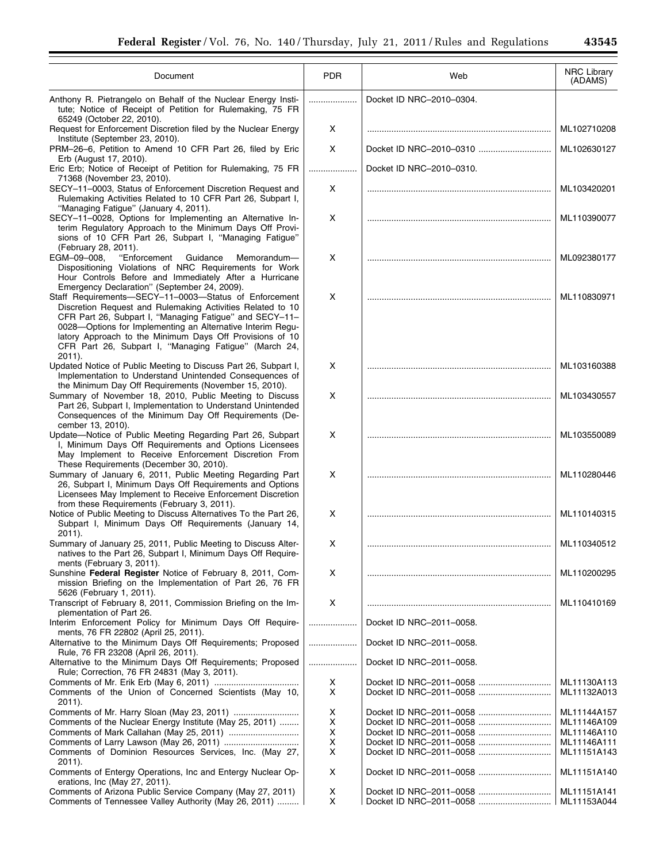| Document                                                                                                                                                                                                                                                                                                                                                                                                          | <b>PDR</b> | Web                      | NRC Library<br>(ADAMS)     |
|-------------------------------------------------------------------------------------------------------------------------------------------------------------------------------------------------------------------------------------------------------------------------------------------------------------------------------------------------------------------------------------------------------------------|------------|--------------------------|----------------------------|
| Anthony R. Pietrangelo on Behalf of the Nuclear Energy Insti-<br>tute; Notice of Receipt of Petition for Rulemaking, 75 FR                                                                                                                                                                                                                                                                                        |            | Docket ID NRC-2010-0304. |                            |
| 65249 (October 22, 2010).<br>Request for Enforcement Discretion filed by the Nuclear Energy                                                                                                                                                                                                                                                                                                                       | Χ          |                          | ML102710208                |
| Institute (September 23, 2010).<br>PRM-26-6, Petition to Amend 10 CFR Part 26, filed by Eric                                                                                                                                                                                                                                                                                                                      | X          | Docket ID NRC-2010-0310  | ML102630127                |
| Erb (August 17, 2010).<br>Eric Erb; Notice of Receipt of Petition for Rulemaking, 75 FR                                                                                                                                                                                                                                                                                                                           | .<br><br>. | Docket ID NRC-2010-0310. |                            |
| 71368 (November 23, 2010).<br>SECY-11-0003, Status of Enforcement Discretion Request and<br>Rulemaking Activities Related to 10 CFR Part 26, Subpart I,                                                                                                                                                                                                                                                           | Χ          |                          | ML103420201                |
| "Managing Fatigue" (January 4, 2011).<br>SECY-11-0028, Options for Implementing an Alternative In-<br>terim Regulatory Approach to the Minimum Days Off Provi-<br>sions of 10 CFR Part 26, Subpart I, "Managing Fatigue"                                                                                                                                                                                          | X          |                          | ML110390077                |
| (February 28, 2011).<br>EGM-09-008.<br>"Enforcement<br>Guidance<br>Memorandum-<br>Dispositioning Violations of NRC Requirements for Work<br>Hour Controls Before and Immediately After a Hurricane                                                                                                                                                                                                                | X          |                          | ML092380177                |
| Emergency Declaration" (September 24, 2009).<br>Staff Requirements-SECY-11-0003-Status of Enforcement<br>Discretion Request and Rulemaking Activities Related to 10<br>CFR Part 26, Subpart I, "Managing Fatigue" and SECY-11-<br>0028-Options for Implementing an Alternative Interim Regu-<br>latory Approach to the Minimum Days Off Provisions of 10<br>CFR Part 26, Subpart I, "Managing Fatigue" (March 24, | X          |                          | ML110830971                |
| 2011).<br>Updated Notice of Public Meeting to Discuss Part 26, Subpart I,<br>Implementation to Understand Unintended Consequences of                                                                                                                                                                                                                                                                              | X          |                          | ML103160388                |
| the Minimum Day Off Requirements (November 15, 2010).<br>Summary of November 18, 2010, Public Meeting to Discuss<br>Part 26, Subpart I, Implementation to Understand Unintended<br>Consequences of the Minimum Day Off Requirements (De-                                                                                                                                                                          | X          |                          | ML103430557                |
| cember 13, 2010).<br>Update-Notice of Public Meeting Regarding Part 26, Subpart<br>I, Minimum Days Off Requirements and Options Licensees<br>May Implement to Receive Enforcement Discretion From                                                                                                                                                                                                                 | X          |                          | ML103550089                |
| These Requirements (December 30, 2010).<br>Summary of January 6, 2011, Public Meeting Regarding Part<br>26, Subpart I, Minimum Days Off Requirements and Options<br>Licensees May Implement to Receive Enforcement Discretion<br>from these Requirements (February 3, 2011).                                                                                                                                      | X          |                          | ML110280446                |
| Notice of Public Meeting to Discuss Alternatives To the Part 26,<br>Subpart I, Minimum Days Off Requirements (January 14,<br>2011).                                                                                                                                                                                                                                                                               | X          |                          | ML110140315                |
| Summary of January 25, 2011, Public Meeting to Discuss Alter-<br>natives to the Part 26, Subpart I, Minimum Days Off Require-                                                                                                                                                                                                                                                                                     | X          |                          | ML110340512                |
| ments (February 3, 2011).<br>Sunshine Federal Register Notice of February 8, 2011, Com-<br>mission Briefing on the Implementation of Part 26, 76 FR                                                                                                                                                                                                                                                               | X          |                          | ML110200295                |
| 5626 (February 1, 2011).<br>Transcript of February 8, 2011, Commission Briefing on the Im-<br>plementation of Part 26.                                                                                                                                                                                                                                                                                            | X          |                          | ML110410169                |
| Interim Enforcement Policy for Minimum Days Off Require-<br>ments, 76 FR 22802 (April 25, 2011).                                                                                                                                                                                                                                                                                                                  | .          | Docket ID NRC-2011-0058. |                            |
| Alternative to the Minimum Days Off Requirements; Proposed<br>Rule, 76 FR 23208 (April 26, 2011).                                                                                                                                                                                                                                                                                                                 | .          | Docket ID NRC-2011-0058. |                            |
| Alternative to the Minimum Days Off Requirements; Proposed<br>Rule; Correction, 76 FR 24831 (May 3, 2011).                                                                                                                                                                                                                                                                                                        |            | Docket ID NRC-2011-0058. |                            |
| Comments of the Union of Concerned Scientists (May 10,<br>$2011$ ).                                                                                                                                                                                                                                                                                                                                               | X<br>X     |                          | ML11130A113<br>ML11132A013 |
| Comments of Mr. Harry Sloan (May 23, 2011)                                                                                                                                                                                                                                                                                                                                                                        | x          |                          | ML11144A157                |
| Comments of the Nuclear Energy Institute (May 25, 2011)                                                                                                                                                                                                                                                                                                                                                           | X          |                          | ML11146A109                |
|                                                                                                                                                                                                                                                                                                                                                                                                                   | x<br>X     |                          | ML11146A110<br>ML11146A111 |
| Comments of Dominion Resources Services, Inc. (May 27,                                                                                                                                                                                                                                                                                                                                                            | X          |                          | ML11151A143                |
| $2011$ ).<br>Comments of Entergy Operations, Inc and Entergy Nuclear Op-<br>erations, Inc (May 27, 2011).                                                                                                                                                                                                                                                                                                         | X          |                          | ML11151A140                |
| Comments of Arizona Public Service Company (May 27, 2011)                                                                                                                                                                                                                                                                                                                                                         | X          |                          | ML11151A141                |
| Comments of Tennessee Valley Authority (May 26, 2011)                                                                                                                                                                                                                                                                                                                                                             | X          |                          | ML11153A044                |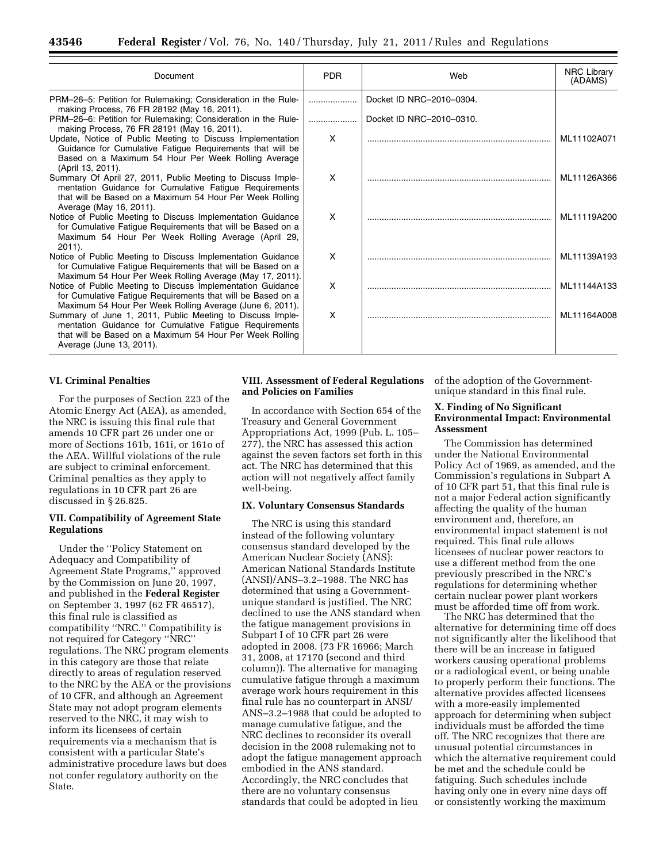| Document                                                                                                                                                                                                     | <b>PDR</b> | Web                      | <b>NRC Library</b><br>(ADAMS) |
|--------------------------------------------------------------------------------------------------------------------------------------------------------------------------------------------------------------|------------|--------------------------|-------------------------------|
| PRM-26-5: Petition for Rulemaking; Consideration in the Rule-<br>making Process, 76 FR 28192 (May 16, 2011).                                                                                                 |            | Docket ID NRC-2010-0304. |                               |
| PRM-26-6: Petition for Rulemaking; Consideration in the Rule-<br>making Process, 76 FR 28191 (May 16, 2011).                                                                                                 | .          | Docket ID NRC-2010-0310. |                               |
| Update, Notice of Public Meeting to Discuss Implementation<br>Guidance for Cumulative Fatigue Requirements that will be<br>Based on a Maximum 54 Hour Per Week Rolling Average<br>(April 13, 2011).          | X          |                          | ML11102A071                   |
| Summary Of April 27, 2011, Public Meeting to Discuss Imple-<br>mentation Guidance for Cumulative Fatigue Requirements<br>that will be Based on a Maximum 54 Hour Per Week Rolling<br>Average (May 16, 2011). | X          |                          | ML11126A366                   |
| Notice of Public Meeting to Discuss Implementation Guidance<br>for Cumulative Fatigue Requirements that will be Based on a<br>Maximum 54 Hour Per Week Rolling Average (April 29,<br>$2011$ ).               | X          |                          | ML11119A200                   |
| Notice of Public Meeting to Discuss Implementation Guidance<br>for Cumulative Fatigue Requirements that will be Based on a<br>Maximum 54 Hour Per Week Rolling Average (May 17, 2011).                       | X          |                          | ML11139A193                   |
| Notice of Public Meeting to Discuss Implementation Guidance<br>for Cumulative Fatigue Requirements that will be Based on a<br>Maximum 54 Hour Per Week Rolling Average (June 6, 2011).                       | X          |                          | ML11144A133                   |
| Summary of June 1, 2011, Public Meeting to Discuss Imple-<br>mentation Guidance for Cumulative Fatigue Requirements<br>that will be Based on a Maximum 54 Hour Per Week Rolling<br>Average (June 13, 2011).  | X          |                          | ML11164A008                   |

## **VI. Criminal Penalties**

For the purposes of Section 223 of the Atomic Energy Act (AEA), as amended, the NRC is issuing this final rule that amends 10 CFR part 26 under one or more of Sections 161b, 161i, or 161o of the AEA. Willful violations of the rule are subject to criminal enforcement. Criminal penalties as they apply to regulations in 10 CFR part 26 are discussed in § 26.825.

## **VII. Compatibility of Agreement State Regulations**

Under the ''Policy Statement on Adequacy and Compatibility of Agreement State Programs,'' approved by the Commission on June 20, 1997, and published in the **Federal Register**  on September 3, 1997 (62 FR 46517), this final rule is classified as compatibility ''NRC.'' Compatibility is not required for Category ''NRC'' regulations. The NRC program elements in this category are those that relate directly to areas of regulation reserved to the NRC by the AEA or the provisions of 10 CFR, and although an Agreement State may not adopt program elements reserved to the NRC, it may wish to inform its licensees of certain requirements via a mechanism that is consistent with a particular State's administrative procedure laws but does not confer regulatory authority on the State.

### **VIII. Assessment of Federal Regulations and Policies on Families**

In accordance with Section 654 of the Treasury and General Government Appropriations Act, 1999 (Pub. L. 105– 277), the NRC has assessed this action against the seven factors set forth in this act. The NRC has determined that this action will not negatively affect family well-being.

### **IX. Voluntary Consensus Standards**

The NRC is using this standard instead of the following voluntary consensus standard developed by the American Nuclear Society (ANS): American National Standards Institute (ANSI)/ANS–3.2–1988. The NRC has determined that using a Governmentunique standard is justified. The NRC declined to use the ANS standard when the fatigue management provisions in Subpart I of 10 CFR part 26 were adopted in 2008. (73 FR 16966; March 31, 2008, at 17170 (second and third column)). The alternative for managing cumulative fatigue through a maximum average work hours requirement in this final rule has no counterpart in ANSI/ ANS–3.2–1988 that could be adopted to manage cumulative fatigue, and the NRC declines to reconsider its overall decision in the 2008 rulemaking not to adopt the fatigue management approach embodied in the ANS standard. Accordingly, the NRC concludes that there are no voluntary consensus standards that could be adopted in lieu

of the adoption of the Governmentunique standard in this final rule.

## **X. Finding of No Significant Environmental Impact: Environmental Assessment**

The Commission has determined under the National Environmental Policy Act of 1969, as amended, and the Commission's regulations in Subpart A of 10 CFR part 51, that this final rule is not a major Federal action significantly affecting the quality of the human environment and, therefore, an environmental impact statement is not required. This final rule allows licensees of nuclear power reactors to use a different method from the one previously prescribed in the NRC's regulations for determining whether certain nuclear power plant workers must be afforded time off from work.

The NRC has determined that the alternative for determining time off does not significantly alter the likelihood that there will be an increase in fatigued workers causing operational problems or a radiological event, or being unable to properly perform their functions. The alternative provides affected licensees with a more-easily implemented approach for determining when subject individuals must be afforded the time off. The NRC recognizes that there are unusual potential circumstances in which the alternative requirement could be met and the schedule could be fatiguing. Such schedules include having only one in every nine days off or consistently working the maximum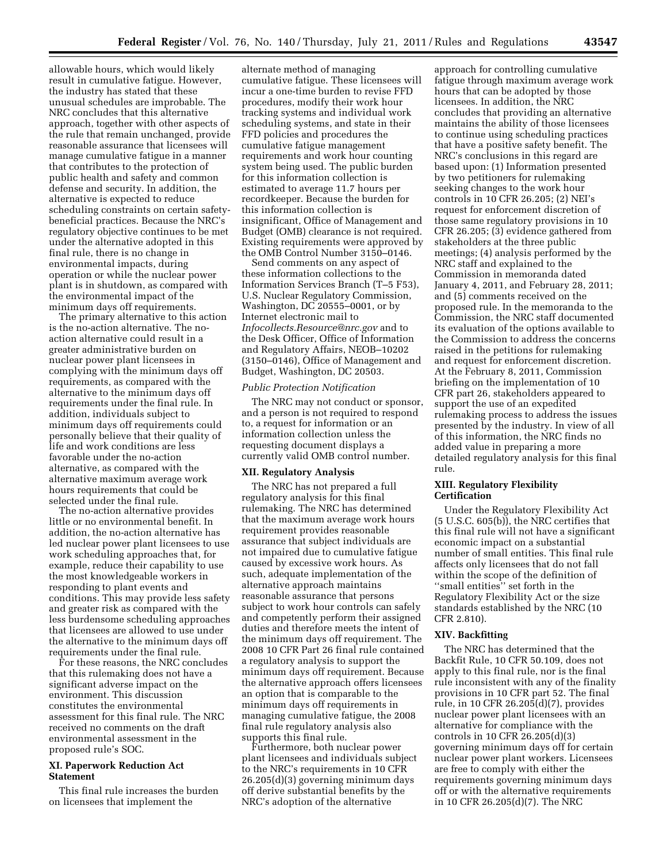allowable hours, which would likely result in cumulative fatigue. However, the industry has stated that these unusual schedules are improbable. The NRC concludes that this alternative approach, together with other aspects of the rule that remain unchanged, provide reasonable assurance that licensees will manage cumulative fatigue in a manner that contributes to the protection of public health and safety and common defense and security. In addition, the alternative is expected to reduce scheduling constraints on certain safetybeneficial practices. Because the NRC's regulatory objective continues to be met under the alternative adopted in this final rule, there is no change in environmental impacts, during operation or while the nuclear power plant is in shutdown, as compared with the environmental impact of the minimum days off requirements.

The primary alternative to this action is the no-action alternative. The noaction alternative could result in a greater administrative burden on nuclear power plant licensees in complying with the minimum days off requirements, as compared with the alternative to the minimum days off requirements under the final rule. In addition, individuals subject to minimum days off requirements could personally believe that their quality of life and work conditions are less favorable under the no-action alternative, as compared with the alternative maximum average work hours requirements that could be selected under the final rule.

The no-action alternative provides little or no environmental benefit. In addition, the no-action alternative has led nuclear power plant licensees to use work scheduling approaches that, for example, reduce their capability to use the most knowledgeable workers in responding to plant events and conditions. This may provide less safety and greater risk as compared with the less burdensome scheduling approaches that licensees are allowed to use under the alternative to the minimum days off requirements under the final rule.

For these reasons, the NRC concludes that this rulemaking does not have a significant adverse impact on the environment. This discussion constitutes the environmental assessment for this final rule. The NRC received no comments on the draft environmental assessment in the proposed rule's SOC.

## **XI. Paperwork Reduction Act Statement**

This final rule increases the burden on licensees that implement the

alternate method of managing cumulative fatigue. These licensees will incur a one-time burden to revise FFD procedures, modify their work hour tracking systems and individual work scheduling systems, and state in their FFD policies and procedures the cumulative fatigue management requirements and work hour counting system being used. The public burden for this information collection is estimated to average 11.7 hours per recordkeeper. Because the burden for this information collection is insignificant, Office of Management and Budget (OMB) clearance is not required. Existing requirements were approved by the OMB Control Number 3150–0146.

Send comments on any aspect of these information collections to the Information Services Branch (T–5 F53), U.S. Nuclear Regulatory Commission, Washington, DC 20555–0001, or by Internet electronic mail to *[Infocollects.Resource@nrc.gov](mailto:Infocollects.Resource@nrc.gov)* and to the Desk Officer, Office of Information and Regulatory Affairs, NEOB–10202 (3150–0146), Office of Management and Budget, Washington, DC 20503.

### *Public Protection Notification*

The NRC may not conduct or sponsor, and a person is not required to respond to, a request for information or an information collection unless the requesting document displays a currently valid OMB control number.

### **XII. Regulatory Analysis**

The NRC has not prepared a full regulatory analysis for this final rulemaking. The NRC has determined that the maximum average work hours requirement provides reasonable assurance that subject individuals are not impaired due to cumulative fatigue caused by excessive work hours. As such, adequate implementation of the alternative approach maintains reasonable assurance that persons subject to work hour controls can safely and competently perform their assigned duties and therefore meets the intent of the minimum days off requirement. The 2008 10 CFR Part 26 final rule contained a regulatory analysis to support the minimum days off requirement. Because the alternative approach offers licensees an option that is comparable to the minimum days off requirements in managing cumulative fatigue, the 2008 final rule regulatory analysis also supports this final rule.

Furthermore, both nuclear power plant licensees and individuals subject to the NRC's requirements in 10 CFR 26.205(d)(3) governing minimum days off derive substantial benefits by the NRC's adoption of the alternative

approach for controlling cumulative fatigue through maximum average work hours that can be adopted by those licensees. In addition, the NRC concludes that providing an alternative maintains the ability of those licensees to continue using scheduling practices that have a positive safety benefit. The NRC's conclusions in this regard are based upon: (1) Information presented by two petitioners for rulemaking seeking changes to the work hour controls in 10 CFR 26.205; (2) NEI's request for enforcement discretion of those same regulatory provisions in 10 CFR 26.205; (3) evidence gathered from stakeholders at the three public meetings; (4) analysis performed by the NRC staff and explained to the Commission in memoranda dated January 4, 2011, and February 28, 2011; and (5) comments received on the proposed rule. In the memoranda to the Commission, the NRC staff documented its evaluation of the options available to the Commission to address the concerns raised in the petitions for rulemaking and request for enforcement discretion. At the February 8, 2011, Commission briefing on the implementation of 10 CFR part 26, stakeholders appeared to support the use of an expedited rulemaking process to address the issues presented by the industry. In view of all of this information, the NRC finds no added value in preparing a more detailed regulatory analysis for this final rule.

## **XIII. Regulatory Flexibility Certification**

Under the Regulatory Flexibility Act (5 U.S.C. 605(b)), the NRC certifies that this final rule will not have a significant economic impact on a substantial number of small entities. This final rule affects only licensees that do not fall within the scope of the definition of ''small entities'' set forth in the Regulatory Flexibility Act or the size standards established by the NRC (10 CFR 2.810).

### **XIV. Backfitting**

The NRC has determined that the Backfit Rule, 10 CFR 50.109, does not apply to this final rule, nor is the final rule inconsistent with any of the finality provisions in 10 CFR part 52. The final rule, in 10 CFR 26.205(d)(7), provides nuclear power plant licensees with an alternative for compliance with the controls in 10 CFR 26.205(d)(3) governing minimum days off for certain nuclear power plant workers. Licensees are free to comply with either the requirements governing minimum days off or with the alternative requirements in 10 CFR 26.205(d)(7). The NRC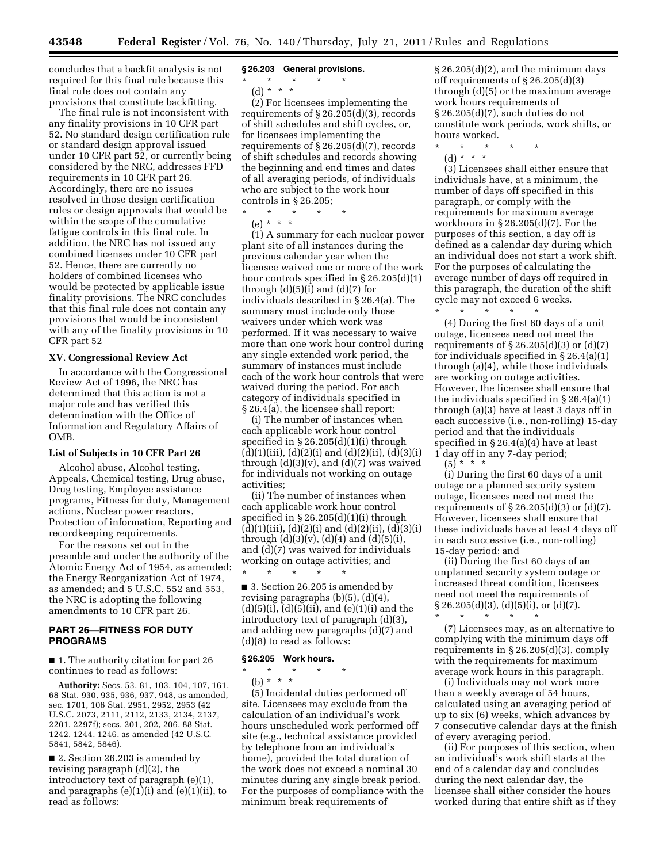concludes that a backfit analysis is not required for this final rule because this final rule does not contain any provisions that constitute backfitting.

The final rule is not inconsistent with any finality provisions in 10 CFR part 52. No standard design certification rule or standard design approval issued under 10 CFR part 52, or currently being considered by the NRC, addresses FFD requirements in 10 CFR part 26. Accordingly, there are no issues resolved in those design certification rules or design approvals that would be within the scope of the cumulative fatigue controls in this final rule. In addition, the NRC has not issued any combined licenses under 10 CFR part 52. Hence, there are currently no holders of combined licenses who would be protected by applicable issue finality provisions. The NRC concludes that this final rule does not contain any provisions that would be inconsistent with any of the finality provisions in 10 CFR part 52

### **XV. Congressional Review Act**

In accordance with the Congressional Review Act of 1996, the NRC has determined that this action is not a major rule and has verified this determination with the Office of Information and Regulatory Affairs of OMB.

### **List of Subjects in 10 CFR Part 26**

Alcohol abuse, Alcohol testing, Appeals, Chemical testing, Drug abuse, Drug testing, Employee assistance programs, Fitness for duty, Management actions, Nuclear power reactors, Protection of information, Reporting and recordkeeping requirements.

For the reasons set out in the preamble and under the authority of the Atomic Energy Act of 1954, as amended; the Energy Reorganization Act of 1974, as amended; and 5 U.S.C. 552 and 553, the NRC is adopting the following amendments to 10 CFR part 26.

## **PART 26—FITNESS FOR DUTY PROGRAMS**

■ 1. The authority citation for part 26 continues to read as follows:

**Authority:** Secs. 53, 81, 103, 104, 107, 161, 68 Stat. 930, 935, 936, 937, 948, as amended, sec. 1701, 106 Stat. 2951, 2952, 2953 (42 U.S.C. 2073, 2111, 2112, 2133, 2134, 2137, 2201, 2297f); secs. 201, 202, 206, 88 Stat. 1242, 1244, 1246, as amended (42 U.S.C. 5841, 5842, 5846).

■ 2. Section 26.203 is amended by revising paragraph (d)(2), the introductory text of paragraph (e)(1), and paragraphs (e)(1)(i) and (e)(1)(ii), to read as follows:

## **§ 26.203 General provisions.**

\* \* \* \* \*

(d) \* \* \*

(2) For licensees implementing the requirements of § 26.205(d)(3), records of shift schedules and shift cycles, or, for licensees implementing the requirements of § 26.205(d)(7), records of shift schedules and records showing the beginning and end times and dates of all averaging periods, of individuals who are subject to the work hour controls in § 26.205;

\* \* \* \* \*

(e) \* \* \*

(1) A summary for each nuclear power plant site of all instances during the previous calendar year when the licensee waived one or more of the work hour controls specified in § 26.205(d)(1) through  $(d)(5)(i)$  and  $(d)(7)$  for individuals described in § 26.4(a). The summary must include only those waivers under which work was performed. If it was necessary to waive more than one work hour control during any single extended work period, the summary of instances must include each of the work hour controls that were waived during the period. For each category of individuals specified in § 26.4(a), the licensee shall report:

(i) The number of instances when each applicable work hour control specified in § 26.205(d)(1)(i) through  $(d)(1)(iii), (d)(2)(i)$  and  $(d)(2)(ii), (d)(3)(i)$ through  $(d)(3)(v)$ , and  $(d)(7)$  was waived for individuals not working on outage activities;

(ii) The number of instances when each applicable work hour control specified in  $\S 26.205(d)(1)(i)$  through  $(d)(1)(iii), (d)(2)(i)$  and  $(d)(2)(ii), (d)(3)(i)$ through  $(d)(3)(v)$ ,  $(d)(4)$  and  $(d)(5)(i)$ , and (d)(7) was waived for individuals working on outage activities; and \* \* \* \* \*

■ 3. Section 26.205 is amended by revising paragraphs (b)(5), (d)(4),  $(d)(5)(i)$ ,  $(d)(5)(ii)$ , and  $(e)(1)(i)$  and the introductory text of paragraph (d)(3), and adding new paragraphs (d)(7) and (d)(8) to read as follows:

#### **§ 26.205 Work hours.**

\* \* \* \* \* (b)  $* * * *$ 

(5) Incidental duties performed off site. Licensees may exclude from the calculation of an individual's work hours unscheduled work performed off site (e.g., technical assistance provided by telephone from an individual's home), provided the total duration of the work does not exceed a nominal 30 minutes during any single break period. For the purposes of compliance with the minimum break requirements of

§ 26.205(d)(2), and the minimum days off requirements of § 26.205(d)(3) through (d)(5) or the maximum average work hours requirements of § 26.205(d)(7), such duties do not constitute work periods, work shifts, or hours worked.

\* \* \* \* \* (d) \* \* \*

(3) Licensees shall either ensure that individuals have, at a minimum, the number of days off specified in this paragraph, or comply with the requirements for maximum average workhours in § 26.205(d)(7). For the purposes of this section, a day off is defined as a calendar day during which an individual does not start a work shift. For the purposes of calculating the average number of days off required in this paragraph, the duration of the shift cycle may not exceed 6 weeks.

\* \* \* \* \* (4) During the first 60 days of a unit outage, licensees need not meet the requirements of  $\S 26.205(d)(3)$  or  $(d)(7)$ for individuals specified in § 26.4(a)(1) through (a)(4), while those individuals are working on outage activities. However, the licensee shall ensure that the individuals specified in § 26.4(a)(1) through (a)(3) have at least 3 days off in each successive (i.e., non-rolling) 15-day period and that the individuals specified in § 26.4(a)(4) have at least 1 day off in any 7-day period;

 $(5)^{\ast}$  \* \* \*

(i) During the first 60 days of a unit outage or a planned security system outage, licensees need not meet the requirements of  $\S 26.205(d)(3)$  or  $(d)(7)$ . However, licensees shall ensure that these individuals have at least 4 days off in each successive (i.e., non-rolling) 15-day period; and

(ii) During the first 60 days of an unplanned security system outage or increased threat condition, licensees need not meet the requirements of  $\S 26.205(d)(3)$ , (d)(5)(i), or (d)(7).

\* \* \* \* \* (7) Licensees may, as an alternative to complying with the minimum days off requirements in § 26.205(d)(3), comply with the requirements for maximum average work hours in this paragraph.

(i) Individuals may not work more than a weekly average of 54 hours, calculated using an averaging period of up to six (6) weeks, which advances by 7 consecutive calendar days at the finish of every averaging period.

(ii) For purposes of this section, when an individual's work shift starts at the end of a calendar day and concludes during the next calendar day, the licensee shall either consider the hours worked during that entire shift as if they